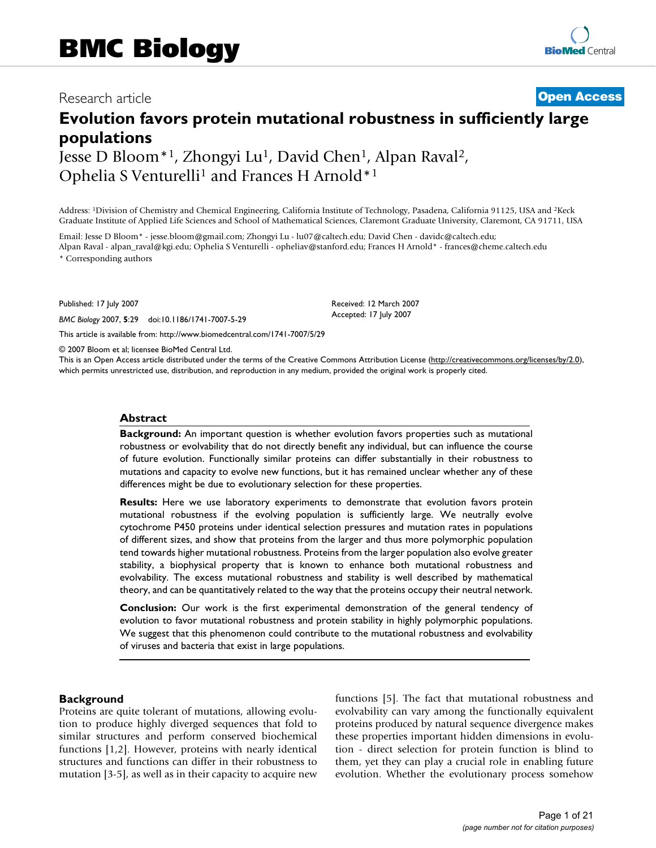# Research article **[Open Access](http://www.biomedcentral.com/info/about/charter/)**

# **Evolution favors protein mutational robustness in sufficiently large populations**

Jesse D Bloom<sup>\*1</sup>, Zhongyi Lu<sup>1</sup>, David Chen<sup>1</sup>, Alpan Raval<sup>2</sup>, Ophelia S Venturelli<sup>1</sup> and Frances H Arnold\*<sup>1</sup>

Address: 1Division of Chemistry and Chemical Engineering, California Institute of Technology, Pasadena, California 91125, USA and 2Keck Graduate Institute of Applied Life Sciences and School of Mathematical Sciences, Claremont Graduate University, Claremont, CA 91711, USA

Email: Jesse D Bloom\* - jesse.bloom@gmail.com; Zhongyi Lu - lu07@caltech.edu; David Chen - davidc@caltech.edu; Alpan Raval - alpan\_raval@kgi.edu; Ophelia S Venturelli - opheliav@stanford.edu; Frances H Arnold\* - frances@cheme.caltech.edu

\* Corresponding authors

Published: 17 July 2007

*BMC Biology* 2007, **5**:29 doi:10.1186/1741-7007-5-29

[This article is available from: http://www.biomedcentral.com/1741-7007/5/29](http://www.biomedcentral.com/1741-7007/5/29)

© 2007 Bloom et al; licensee BioMed Central Ltd.

This is an Open Access article distributed under the terms of the Creative Commons Attribution License [\(http://creativecommons.org/licenses/by/2.0\)](http://creativecommons.org/licenses/by/2.0), which permits unrestricted use, distribution, and reproduction in any medium, provided the original work is properly cited.

Received: 12 March 2007 Accepted: 17 July 2007

#### **Abstract**

**Background:** An important question is whether evolution favors properties such as mutational robustness or evolvability that do not directly benefit any individual, but can influence the course of future evolution. Functionally similar proteins can differ substantially in their robustness to mutations and capacity to evolve new functions, but it has remained unclear whether any of these differences might be due to evolutionary selection for these properties.

**Results:** Here we use laboratory experiments to demonstrate that evolution favors protein mutational robustness if the evolving population is sufficiently large. We neutrally evolve cytochrome P450 proteins under identical selection pressures and mutation rates in populations of different sizes, and show that proteins from the larger and thus more polymorphic population tend towards higher mutational robustness. Proteins from the larger population also evolve greater stability, a biophysical property that is known to enhance both mutational robustness and evolvability. The excess mutational robustness and stability is well described by mathematical theory, and can be quantitatively related to the way that the proteins occupy their neutral network.

**Conclusion:** Our work is the first experimental demonstration of the general tendency of evolution to favor mutational robustness and protein stability in highly polymorphic populations. We suggest that this phenomenon could contribute to the mutational robustness and evolvability of viruses and bacteria that exist in large populations.

#### **Background**

Proteins are quite tolerant of mutations, allowing evolution to produce highly diverged sequences that fold to similar structures and perform conserved biochemical functions [1,2]. However, proteins with nearly identical structures and functions can differ in their robustness to mutation [3-5], as well as in their capacity to acquire new functions [5]. The fact that mutational robustness and evolvability can vary among the functionally equivalent proteins produced by natural sequence divergence makes these properties important hidden dimensions in evolution - direct selection for protein function is blind to them, yet they can play a crucial role in enabling future evolution. Whether the evolutionary process somehow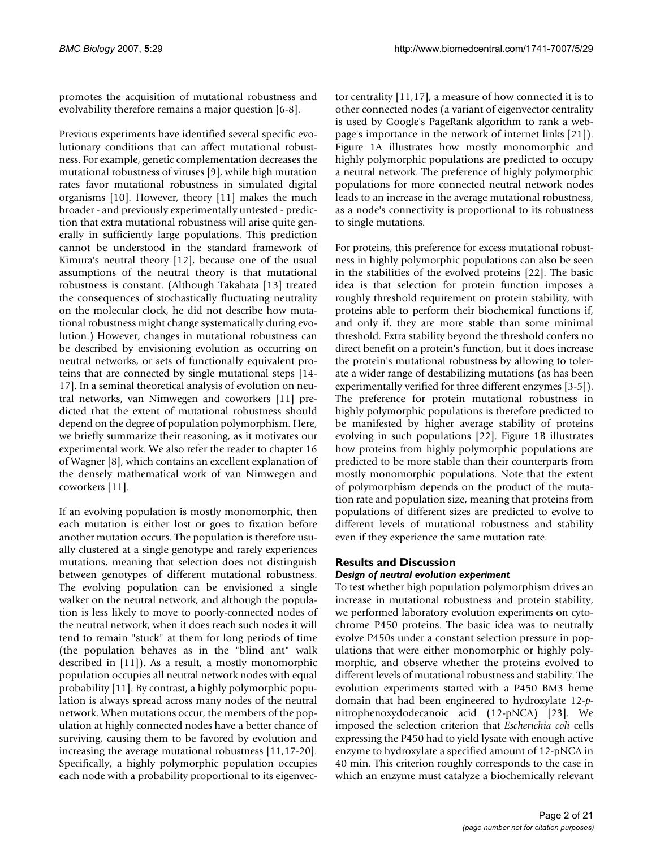promotes the acquisition of mutational robustness and evolvability therefore remains a major question [6-8].

Previous experiments have identified several specific evolutionary conditions that can affect mutational robustness. For example, genetic complementation decreases the mutational robustness of viruses [9], while high mutation rates favor mutational robustness in simulated digital organisms [10]. However, theory [11] makes the much broader - and previously experimentally untested - prediction that extra mutational robustness will arise quite generally in sufficiently large populations. This prediction cannot be understood in the standard framework of Kimura's neutral theory [12], because one of the usual assumptions of the neutral theory is that mutational robustness is constant. (Although Takahata [13] treated the consequences of stochastically fluctuating neutrality on the molecular clock, he did not describe how mutational robustness might change systematically during evolution.) However, changes in mutational robustness can be described by envisioning evolution as occurring on neutral networks, or sets of functionally equivalent proteins that are connected by single mutational steps [14- 17]. In a seminal theoretical analysis of evolution on neutral networks, van Nimwegen and coworkers [11] predicted that the extent of mutational robustness should depend on the degree of population polymorphism. Here, we briefly summarize their reasoning, as it motivates our experimental work. We also refer the reader to chapter 16 of Wagner [8], which contains an excellent explanation of the densely mathematical work of van Nimwegen and coworkers [11].

If an evolving population is mostly monomorphic, then each mutation is either lost or goes to fixation before another mutation occurs. The population is therefore usually clustered at a single genotype and rarely experiences mutations, meaning that selection does not distinguish between genotypes of different mutational robustness. The evolving population can be envisioned a single walker on the neutral network, and although the population is less likely to move to poorly-connected nodes of the neutral network, when it does reach such nodes it will tend to remain "stuck" at them for long periods of time (the population behaves as in the "blind ant" walk described in [11]). As a result, a mostly monomorphic population occupies all neutral network nodes with equal probability [11]. By contrast, a highly polymorphic population is always spread across many nodes of the neutral network. When mutations occur, the members of the population at highly connected nodes have a better chance of surviving, causing them to be favored by evolution and increasing the average mutational robustness [11,17-20]. Specifically, a highly polymorphic population occupies each node with a probability proportional to its eigenvector centrality [11,17], a measure of how connected it is to other connected nodes (a variant of eigenvector centrality is used by Google's PageRank algorithm to rank a webpage's importance in the network of internet links [21]). Figure 1A illustrates how mostly monomorphic and highly polymorphic populations are predicted to occupy a neutral network. The preference of highly polymorphic populations for more connected neutral network nodes leads to an increase in the average mutational robustness, as a node's connectivity is proportional to its robustness to single mutations.

For proteins, this preference for excess mutational robustness in highly polymorphic populations can also be seen in the stabilities of the evolved proteins [22]. The basic idea is that selection for protein function imposes a roughly threshold requirement on protein stability, with proteins able to perform their biochemical functions if, and only if, they are more stable than some minimal threshold. Extra stability beyond the threshold confers no direct benefit on a protein's function, but it does increase the protein's mutational robustness by allowing to tolerate a wider range of destabilizing mutations (as has been experimentally verified for three different enzymes [3-5]). The preference for protein mutational robustness in highly polymorphic populations is therefore predicted to be manifested by higher average stability of proteins evolving in such populations [22]. Figure 1B illustrates how proteins from highly polymorphic populations are predicted to be more stable than their counterparts from mostly monomorphic populations. Note that the extent of polymorphism depends on the product of the mutation rate and population size, meaning that proteins from populations of different sizes are predicted to evolve to different levels of mutational robustness and stability even if they experience the same mutation rate.

# **Results and Discussion**

# *Design of neutral evolution experiment*

To test whether high population polymorphism drives an increase in mutational robustness and protein stability, we performed laboratory evolution experiments on cytochrome P450 proteins. The basic idea was to neutrally evolve P450s under a constant selection pressure in populations that were either monomorphic or highly polymorphic, and observe whether the proteins evolved to different levels of mutational robustness and stability. The evolution experiments started with a P450 BM3 heme domain that had been engineered to hydroxylate 12-*p*nitrophenoxydodecanoic acid (12-pNCA) [23]. We imposed the selection criterion that *Escherichia coli* cells expressing the P450 had to yield lysate with enough active enzyme to hydroxylate a specified amount of 12-pNCA in 40 min. This criterion roughly corresponds to the case in which an enzyme must catalyze a biochemically relevant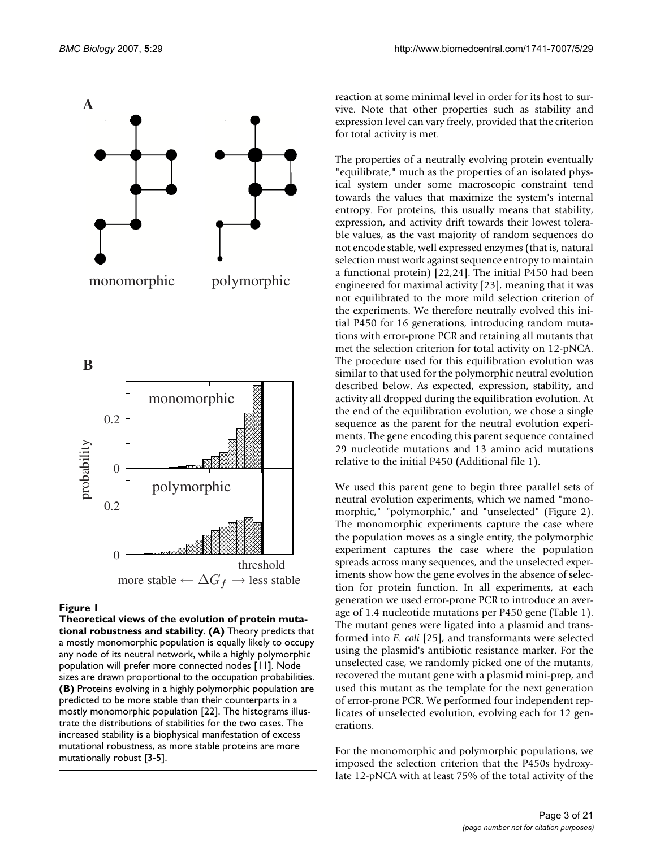

#### Figure 1

**Theoretical views of the evolution of protein mutational robustness and stability**. **(A)** Theory predicts that a mostly monomorphic population is equally likely to occupy any node of its neutral network, while a highly polymorphic population will prefer more connected nodes [11]. Node sizes are drawn proportional to the occupation probabilities. **(B)** Proteins evolving in a highly polymorphic population are predicted to be more stable than their counterparts in a mostly monomorphic population [22]. The histograms illustrate the distributions of stabilities for the two cases. The increased stability is a biophysical manifestation of excess mutational robustness, as more stable proteins are more mutationally robust [3-5].

reaction at some minimal level in order for its host to survive. Note that other properties such as stability and expression level can vary freely, provided that the criterion for total activity is met.

The properties of a neutrally evolving protein eventually "equilibrate," much as the properties of an isolated physical system under some macroscopic constraint tend towards the values that maximize the system's internal entropy. For proteins, this usually means that stability, expression, and activity drift towards their lowest tolerable values, as the vast majority of random sequences do not encode stable, well expressed enzymes (that is, natural selection must work against sequence entropy to maintain a functional protein) [22,24]. The initial P450 had been engineered for maximal activity [23], meaning that it was not equilibrated to the more mild selection criterion of the experiments. We therefore neutrally evolved this initial P450 for 16 generations, introducing random mutations with error-prone PCR and retaining all mutants that met the selection criterion for total activity on 12-pNCA. The procedure used for this equilibration evolution was similar to that used for the polymorphic neutral evolution described below. As expected, expression, stability, and activity all dropped during the equilibration evolution. At the end of the equilibration evolution, we chose a single sequence as the parent for the neutral evolution experiments. The gene encoding this parent sequence contained 29 nucleotide mutations and 13 amino acid mutations relative to the initial P450 (Additional file 1).

We used this parent gene to begin three parallel sets of neutral evolution experiments, which we named "monomorphic," "polymorphic," and "unselected" (Figure 2). The monomorphic experiments capture the case where the population moves as a single entity, the polymorphic experiment captures the case where the population spreads across many sequences, and the unselected experiments show how the gene evolves in the absence of selection for protein function. In all experiments, at each generation we used error-prone PCR to introduce an average of 1.4 nucleotide mutations per P450 gene (Table 1). The mutant genes were ligated into a plasmid and transformed into *E. coli* [25], and transformants were selected using the plasmid's antibiotic resistance marker. For the unselected case, we randomly picked one of the mutants, recovered the mutant gene with a plasmid mini-prep, and used this mutant as the template for the next generation of error-prone PCR. We performed four independent replicates of unselected evolution, evolving each for 12 generations.

For the monomorphic and polymorphic populations, we imposed the selection criterion that the P450s hydroxylate 12-pNCA with at least 75% of the total activity of the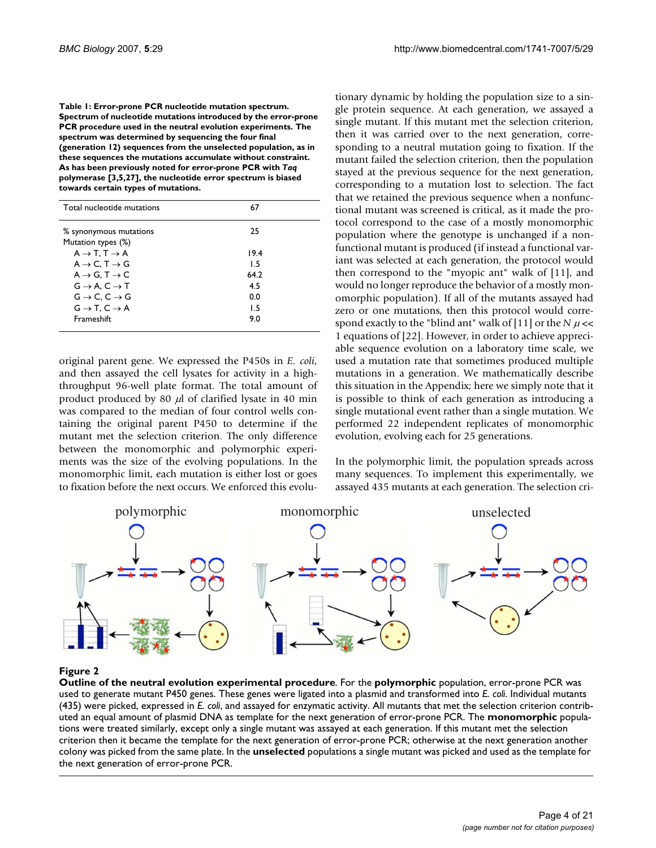**Table 1: Error-prone PCR nucleotide mutation spectrum. Spectrum of nucleotide mutations introduced by the error-prone PCR procedure used in the neutral evolution experiments. The spectrum was determined by sequencing the four final (generation 12) sequences from the unselected population, as in these sequences the mutations accumulate without constraint. As has been previously noted for error-prone PCR with** *Taq*  **polymerase [3,5,27], the nucleotide error spectrum is biased towards certain types of mutations.**

| Total nucleotide mutations            | 67   |
|---------------------------------------|------|
| % synonymous mutations                | 25   |
| Mutation types (%)                    |      |
| $A \rightarrow T$ , $T \rightarrow A$ | 19.4 |
| $A \rightarrow C$ . T $\rightarrow G$ | 15   |
| $A \rightarrow G$ , T $\rightarrow$ C | 64.2 |
| $G \rightarrow A$ , $C \rightarrow T$ | 4.5  |
| $G \rightarrow C$ , $C \rightarrow G$ | 0.0  |
| $G \rightarrow T$ , $C \rightarrow A$ | 1.5  |
| Frameshift                            | 9.0  |

original parent gene. We expressed the P450s in *E. coli*, and then assayed the cell lysates for activity in a highthroughput 96-well plate format. The total amount of product produced by 80  $\mu$ l of clarified lysate in 40 min was compared to the median of four control wells containing the original parent P450 to determine if the mutant met the selection criterion. The only difference between the monomorphic and polymorphic experiments was the size of the evolving populations. In the monomorphic limit, each mutation is either lost or goes to fixation before the next occurs. We enforced this evolutionary dynamic by holding the population size to a single protein sequence. At each generation, we assayed a single mutant. If this mutant met the selection criterion, then it was carried over to the next generation, corresponding to a neutral mutation going to fixation. If the mutant failed the selection criterion, then the population stayed at the previous sequence for the next generation, corresponding to a mutation lost to selection. The fact that we retained the previous sequence when a nonfunctional mutant was screened is critical, as it made the protocol correspond to the case of a mostly monomorphic population where the genotype is unchanged if a nonfunctional mutant is produced (if instead a functional variant was selected at each generation, the protocol would then correspond to the "myopic ant" walk of [11], and would no longer reproduce the behavior of a mostly monomorphic population). If all of the mutants assayed had zero or one mutations, then this protocol would correspond exactly to the "blind ant" walk of [11] or the  $N \mu \ll 1$ 1 equations of [22]. However, in order to achieve appreciable sequence evolution on a laboratory time scale, we used a mutation rate that sometimes produced multiple mutations in a generation. We mathematically describe this situation in the Appendix; here we simply note that it is possible to think of each generation as introducing a single mutational event rather than a single mutation. We performed 22 independent replicates of monomorphic evolution, evolving each for 25 generations.

In the polymorphic limit, the population spreads across many sequences. To implement this experimentally, we assayed 435 mutants at each generation. The selection cri-



#### **Figure 2**

**Outline of the neutral evolution experimental procedure**. For the **polymorphic** population, error-prone PCR was used to generate mutant P450 genes. These genes were ligated into a plasmid and transformed into *E. coli*. Individual mutants (435) were picked, expressed in *E. coli*, and assayed for enzymatic activity. All mutants that met the selection criterion contributed an equal amount of plasmid DNA as template for the next generation of error-prone PCR. The **monomorphic** populations were treated similarly, except only a single mutant was assayed at each generation. If this mutant met the selection criterion then it became the template for the next generation of error-prone PCR; otherwise at the next generation another colony was picked from the same plate. In the **unselected** populations a single mutant was picked and used as the template for the next generation of error-prone PCR.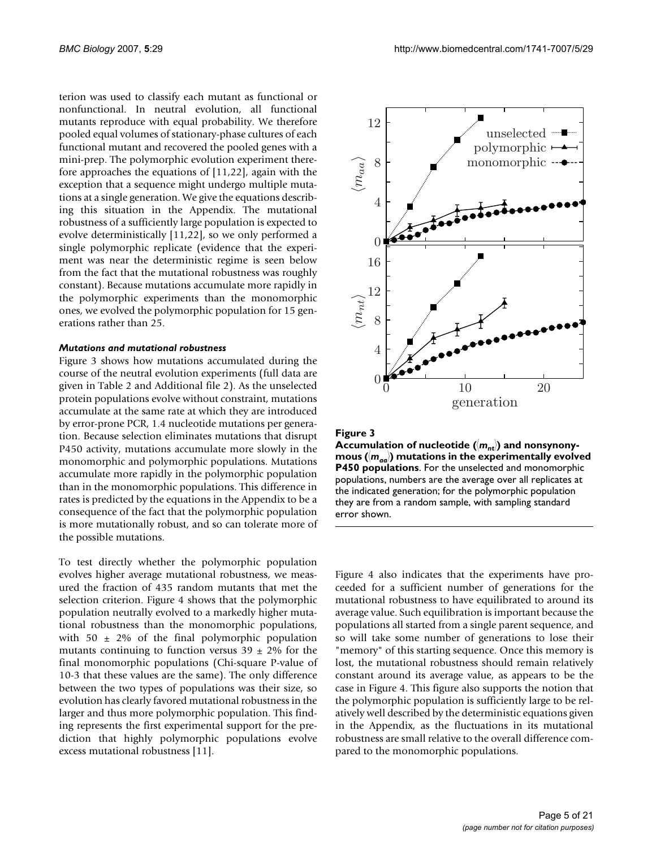terion was used to classify each mutant as functional or nonfunctional. In neutral evolution, all functional mutants reproduce with equal probability. We therefore pooled equal volumes of stationary-phase cultures of each functional mutant and recovered the pooled genes with a mini-prep. The polymorphic evolution experiment therefore approaches the equations of [11,22], again with the exception that a sequence might undergo multiple mutations at a single generation. We give the equations describing this situation in the Appendix. The mutational robustness of a sufficiently large population is expected to evolve deterministically [11,22], so we only performed a single polymorphic replicate (evidence that the experiment was near the deterministic regime is seen below from the fact that the mutational robustness was roughly constant). Because mutations accumulate more rapidly in the polymorphic experiments than the monomorphic ones, we evolved the polymorphic population for 15 generations rather than 25.

#### *Mutations and mutational robustness*

Figure 3 shows how mutations accumulated during the course of the neutral evolution experiments (full data are given in Table 2 and Additional file 2). As the unselected protein populations evolve without constraint, mutations accumulate at the same rate at which they are introduced by error-prone PCR, 1.4 nucleotide mutations per generation. Because selection eliminates mutations that disrupt P450 activity, mutations accumulate more slowly in the monomorphic and polymorphic populations. Mutations accumulate more rapidly in the polymorphic population than in the monomorphic populations. This difference in rates is predicted by the equations in the Appendix to be a consequence of the fact that the polymorphic population is more mutationally robust, and so can tolerate more of the possible mutations.

To test directly whether the polymorphic population evolves higher average mutational robustness, we measured the fraction of 435 random mutants that met the selection criterion. Figure 4 shows that the polymorphic population neutrally evolved to a markedly higher mutational robustness than the monomorphic populations, with 50  $\pm$  2% of the final polymorphic population mutants continuing to function versus  $39 \pm 2\%$  for the final monomorphic populations (Chi-square P-value of 10-3 that these values are the same). The only difference between the two types of populations was their size, so evolution has clearly favored mutational robustness in the larger and thus more polymorphic population. This finding represents the first experimental support for the prediction that highly polymorphic populations evolve excess mutational robustness [11].



#### **Figure 3**

) and nonsynonymous *aa* tions **Figure 3** - $\mathsf{me}\ 3$ Accumulation of nucleotide ( $\langle m_{\mathit{nt}} \rangle$  and nonsynony**mous (***maa*-**) mutations in the experimentally evolved P450 populations**. For the unselected and monomorphic populations, numbers are the average over all replicates at the indicated generation; for the polymorphic population they are from a random sample, with sampling standard error shown.

Figure 4 also indicates that the experiments have proceeded for a sufficient number of generations for the mutational robustness to have equilibrated to around its average value. Such equilibration is important because the populations all started from a single parent sequence, and so will take some number of generations to lose their "memory" of this starting sequence. Once this memory is lost, the mutational robustness should remain relatively constant around its average value, as appears to be the case in Figure 4. This figure also supports the notion that the polymorphic population is sufficiently large to be relatively well described by the deterministic equations given in the Appendix, as the fluctuations in its mutational robustness are small relative to the overall difference compared to the monomorphic populations.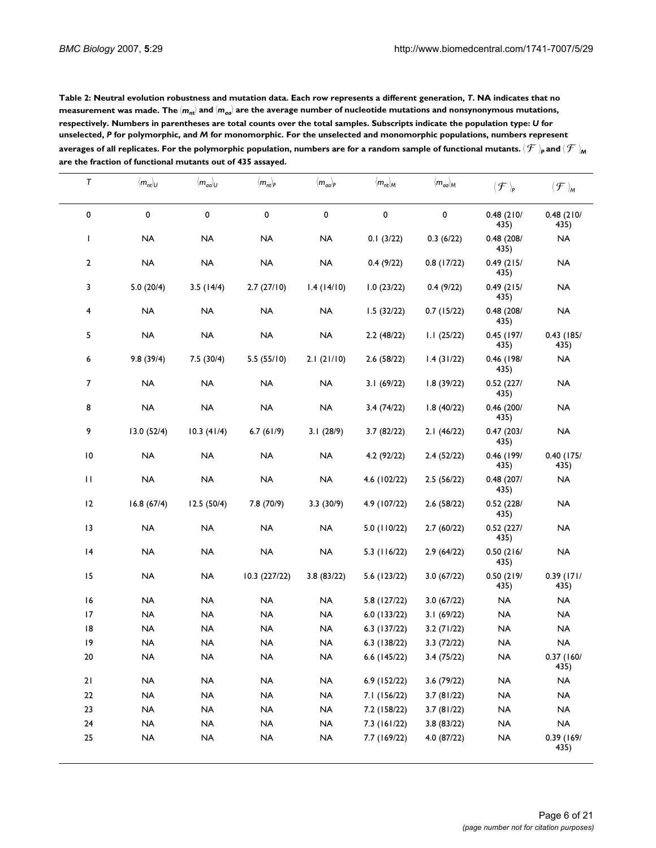| Table 2: Neutral evolution robustness and mutation data. Each row represents a different generation, T. NA indicates that no                                |
|-------------------------------------------------------------------------------------------------------------------------------------------------------------|
| measurement was made. The $\langle m_{nt} \rangle$ and $\langle m_{qg} \rangle$ are the average number of nucleotide mutations and nonsynonymous mutations, |
| respectively. Numbers in parentheses are total counts over the total samples. Subscripts indicate the population type: U for                                |
| unselected, P for polymorphic, and M for monomorphic. For the unselected and monomorphic populations, numbers represent                                     |
| averages of all replicates. For the polymorphic population, numbers are for a random sample of functional mutants. $(\mathcal{F})_p$ and $(\mathcal{F})_m$  |
| are the fraction of functional mutants out of 435 assayed.                                                                                                  |

| $\pmb{\tau}$ | $\langle m_{nt} \rangle_U$ | $\langle m_{aa} \rangle_U$ | $\langle m_{nt} \rangle_P$ | $\langle m_{aa} \rangle_P$ | $\langle m_{nt} \rangle_{M}$ | $\langle m_{aa}\rangle_{\!M}$ | $\langle \mathcal{F} \rangle_{\!\scriptscriptstyle\mathsf{P}}$ | $\langle \mathcal{F} \rangle_{\!\!\scriptscriptstyle M}$ |
|--------------|----------------------------|----------------------------|----------------------------|----------------------------|------------------------------|-------------------------------|----------------------------------------------------------------|----------------------------------------------------------|
| 0            | 0                          | 0                          | 0                          | $\pmb{0}$                  | 0                            | 0                             | 0.48(210/<br>435)                                              | 0.48(210/<br>435)                                        |
| $\mathbf{I}$ | <b>NA</b>                  | $\sf NA$                   | $\sf NA$                   | <b>NA</b>                  | 0.1(3/22)                    | 0.3(6/22)                     | 0.48(208/<br>435)                                              | <b>NA</b>                                                |
| $\mathbf 2$  | $\sf NA$                   | $\sf NA$                   | NA                         | $\sf NA$                   | 0.4(9/22)                    | 0.8(17/22)                    | 0.49(215/<br>435)                                              | <b>NA</b>                                                |
| 3            | 5.0(20/4)                  | 3.5(14/4)                  | 2.7(27/10)                 | 1.4(14/10)                 | 1.0(23/22)                   | 0.4(9/22)                     | 0.49(215/<br>435)                                              | <b>NA</b>                                                |
| 4            | <b>NA</b>                  | <b>NA</b>                  | <b>NA</b>                  | <b>NA</b>                  | 1.5(32/22)                   | 0.7(15/22)                    | 0.48(208/<br>435)                                              | <b>NA</b>                                                |
| 5            | <b>NA</b>                  | <b>NA</b>                  | <b>NA</b>                  | <b>NA</b>                  | 2.2(48/22)                   | 1.1(25/22)                    | $0.45$ (197/<br>435)                                           | $0.43$ (185/<br>435)                                     |
| 6            | 9.8(39/4)                  | 7.5(30/4)                  | 5.5(55/10)                 | 2.1(21/10)                 | 2.6(58/22)                   | 1.4(31/22)                    | 0.46 (198/<br>435)                                             | <b>NA</b>                                                |
| 7            | <b>NA</b>                  | <b>NA</b>                  | <b>NA</b>                  | <b>NA</b>                  | 3.1(69/22)                   | 1.8(39/22)                    | 0.52(227/<br>435)                                              | <b>NA</b>                                                |
| 8            | <b>NA</b>                  | $\sf NA$                   | $\sf NA$                   | <b>NA</b>                  | 3.4(74/22)                   | 1.8(40/22)                    | 0.46(200/<br>435)                                              | <b>NA</b>                                                |
| 9            | 13.0(52/4)                 | 10.3(41/4)                 | 6.7(61/9)                  | 3.1(28/9)                  | 3.7(82/22)                   | 2.1(46/22)                    | 0.47(203/<br>435)                                              | $\sf NA$                                                 |
| $\,$ l $\,$  | <b>NA</b>                  | <b>NA</b>                  | $\sf NA$                   | <b>NA</b>                  | 4.2 (92/22)                  | 2.4(52/22)                    | $0.46$ (199/<br>435)                                           | $0.40$ (175/<br>435)                                     |
| $\mathbf{H}$ | NA                         | $\sf NA$                   | <b>NA</b>                  | $\sf NA$                   | 4.6 (102/22)                 | 2.5(56/22)                    | 0.48(207/<br>435)                                              | <b>NA</b>                                                |
| 12           | 16.8(67/4)                 | 12.5(50/4)                 | 7.8 (70/9)                 | 3.3(30/9)                  | 4.9 (107/22)                 | 2.6(58/22)                    | 0.52(228/<br>435)                                              | <b>NA</b>                                                |
| 13           | <b>NA</b>                  | <b>NA</b>                  | <b>NA</b>                  | <b>NA</b>                  | 5.0 (110/22)                 | 2.7(60/22)                    | 0.52(227/<br>435)                                              | <b>NA</b>                                                |
| 4            | <b>NA</b>                  | <b>NA</b>                  | <b>NA</b>                  | <b>NA</b>                  | $5.3$ (116/22)               | 2.9(64/22)                    | 0.50(216/<br>435)                                              | <b>NA</b>                                                |
| 15           | <b>NA</b>                  | <b>NA</b>                  | 10.3 (227/22)              | 3.8(83/22)                 | 5.6 (123/22)                 | 3.0(67/22)                    | 0.50(219/<br>435)                                              | $0.39$ (171/<br>435)                                     |
| 16           | <b>NA</b>                  | <b>NA</b>                  | <b>NA</b>                  | <b>NA</b>                  | 5.8 (127/22)                 | 3.0(67/22)                    | <b>NA</b>                                                      | <b>NA</b>                                                |
| 17           | <b>NA</b>                  | <b>NA</b>                  | <b>NA</b>                  | <b>NA</b>                  | 6.0(133/22)                  | 3.1(69/22)                    | <b>NA</b>                                                      | <b>NA</b>                                                |
| 8            | <b>NA</b>                  | <b>NA</b>                  | <b>NA</b>                  | <b>NA</b>                  | 6.3(137/22)                  | 3.2(71/22)                    | <b>NA</b>                                                      | <b>NA</b>                                                |
| 9            | NA                         | <b>NA</b>                  | $\sf NA$                   | <b>NA</b>                  | $6.3$ (138/22)               | 3.3(72/22)                    | <b>NA</b>                                                      | NA                                                       |
| 20           | <b>NA</b>                  | NA                         | NA                         | NA                         | 6.6 (145/22)                 | 3.4 (75/22)                   | NA                                                             | 0.37(160/<br>435)                                        |
| 21           | $\sf NA$                   | $\sf NA$                   | $\sf NA$                   | NA                         | 6.9 (152/22)                 | 3.6(79/22)                    | $\sf NA$                                                       | $\sf NA$                                                 |
| $22\,$       | NA                         | $\sf NA$                   | $\sf NA$                   | $\sf NA$                   | 7.1 (156/22)                 | 3.7(81/22)                    | $\sf NA$                                                       | $\sf NA$                                                 |
| 23           | $\sf NA$                   | $\sf NA$                   | $\sf NA$                   | $\sf NA$                   | 7.2 (158/22)                 | 3.7(81/22)                    | <b>NA</b>                                                      | $\sf NA$                                                 |
| 24           | NA                         | $\sf NA$                   | $\sf NA$                   | $\sf NA$                   | 7.3(161/22)                  | 3.8(83/22)                    | $\sf NA$                                                       | $\sf NA$                                                 |
| 25           | $\sf NA$                   | $\sf NA$                   | $\sf NA$                   | $\sf NA$                   | 7.7 (169/22)                 | 4.0 (87/22)                   | $\sf NA$                                                       | 0.39 (169/<br>435)                                       |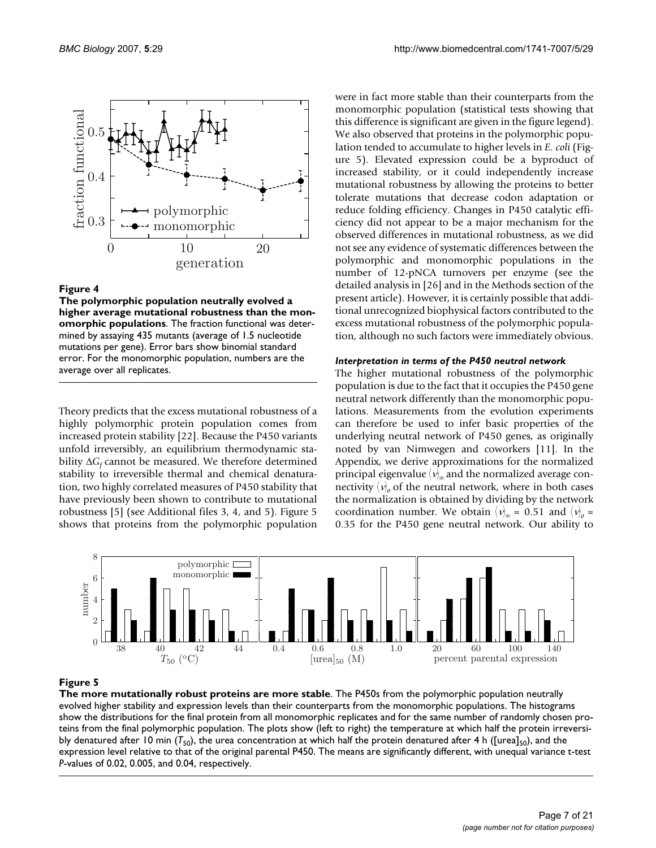

#### Figure 4

**The polymorphic population neutrally evolved a higher average mutational robustness than the monomorphic populations**. The fraction functional was determined by assaying 435 mutants (average of 1.5 nucleotide mutations per gene). Error bars show binomial standard error. For the monomorphic population, numbers are the average over all replicates.

Theory predicts that the excess mutational robustness of a highly polymorphic protein population comes from increased protein stability [22]. Because the P450 variants unfold irreversibly, an equilibrium thermodynamic stability ∆*G<sub>f</sub>* cannot be measured. We therefore determined stability to irreversible thermal and chemical denaturation, two highly correlated measures of P450 stability that have previously been shown to contribute to mutational robustness [5] (see Additional files 3, 4, and 5). Figure 5 shows that proteins from the polymorphic population were in fact more stable than their counterparts from the monomorphic population (statistical tests showing that this difference is significant are given in the figure legend). We also observed that proteins in the polymorphic population tended to accumulate to higher levels in *E. coli* (Figure 5). Elevated expression could be a byproduct of increased stability, or it could independently increase mutational robustness by allowing the proteins to better tolerate mutations that decrease codon adaptation or reduce folding efficiency. Changes in P450 catalytic efficiency did not appear to be a major mechanism for the observed differences in mutational robustness, as we did not see any evidence of systematic differences between the polymorphic and monomorphic populations in the number of 12-pNCA turnovers per enzyme (see the detailed analysis in [26] and in the Methods section of the present article). However, it is certainly possible that additional unrecognized biophysical factors contributed to the excess mutational robustness of the polymorphic population, although no such factors were immediately obvious.

#### *Interpretation in terms of the P450 neutral network*

The higher mutational robustness of the polymorphic population is due to the fact that it occupies the P450 gene neutral network differently than the monomorphic populations. Measurements from the evolution experiments can therefore be used to infer basic properties of the underlying neutral network of P450 genes, as originally noted by van Nimwegen and coworkers [11]. In the Appendix, we derive approximations for the normalized principal eigenvalue  $\langle \nu \rangle_{\!\infty}$  and the normalized average connectivity  $\langle v \rangle$ <sub>o</sub> of the neutral network, where in both cases the normalization is obtained by dividing by the network coordination number. We obtain  $\langle v \rangle_{\infty} = 0.51$  and  $\langle v \rangle_{\infty} =$ 0.35 for the P450 gene neutral network. Our ability to



## Figure 5

**The more mutationally robust proteins are more stable**. The P450s from the polymorphic population neutrally evolved higher stability and expression levels than their counterparts from the monomorphic populations. The histograms show the distributions for the final protein from all monomorphic replicates and for the same number of randomly chosen proteins from the final polymorphic population. The plots show (left to right) the temperature at which half the protein irreversibly denatured after 10 min ( $T_{50}$ ), the urea concentration at which half the protein denatured after 4 h ([urea]<sub>50</sub>), and the expression level relative to that of the original parental P450. The means are significantly different, with unequal variance t-test *P*-values of 0.02, 0.005, and 0.04, respectively.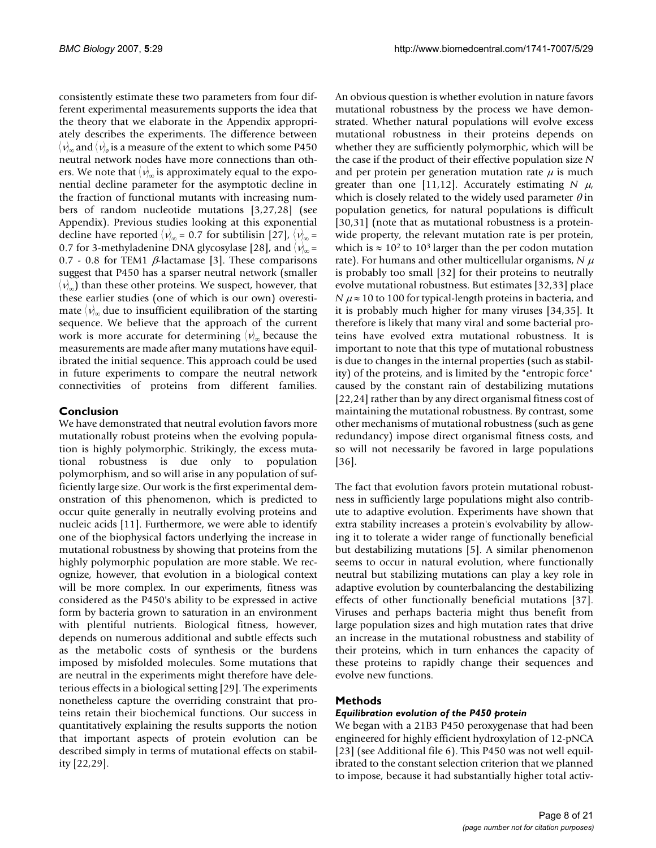consistently estimate these two parameters from four different experimental measurements supports the idea that the theory that we elaborate in the Appendix appropriately describes the experiments. The difference between  $\langle \, \text{\textit{v}}\rangle_{\!\!\infty}$  and  $\langle \text{\textit{v}}\rangle_{\!\!\sigma}$  is a measure of the extent to which some P450 neutral network nodes have more connections than others. We note that  $\langle v \rangle_{\infty}$  is approximately equal to the exponential decline parameter for the asymptotic decline in the fraction of functional mutants with increasing numbers of random nucleotide mutations [3[,27](#page-20-0),28] (see Appendix). Previous studies looking at this exponential decline have reported  $\langle v \rangle_{\infty}$  = 0.7 for subtilisin [[27\]](#page-20-0),  $\langle v \rangle_{\infty}$  = 0.7 for 3-methyladenine DNA glycosylase [28], and  $\langle v \rangle_{\infty}$  = 0.7 - 0.8 for TEM1  $\beta$ -lactamase [3]. These comparisons suggest that P450 has a sparser neutral network (smaller  $\langle v \rangle_{\infty}$ ) than these other proteins. We suspect, however, that these earlier studies (one of which is our own) overestimate  $\langle v \rangle_{\infty}$  due to insufficient equilibration of the starting sequence. We believe that the approach of the current work is more accurate for determining  $\langle \nu \rangle_{\infty}$  because the measurements are made after many mutations have equilibrated the initial sequence. This approach could be used in future experiments to compare the neutral network connectivities of proteins from different families.

## **Conclusion**

We have demonstrated that neutral evolution favors more mutationally robust proteins when the evolving population is highly polymorphic. Strikingly, the excess mutational robustness is due only to population polymorphism, and so will arise in any population of sufficiently large size. Our work is the first experimental demonstration of this phenomenon, which is predicted to occur quite generally in neutrally evolving proteins and nucleic acids [11]. Furthermore, we were able to identify one of the biophysical factors underlying the increase in mutational robustness by showing that proteins from the highly polymorphic population are more stable. We recognize, however, that evolution in a biological context will be more complex. In our experiments, fitness was considered as the P450's ability to be expressed in active form by bacteria grown to saturation in an environment with plentiful nutrients. Biological fitness, however, depends on numerous additional and subtle effects such as the metabolic costs of synthesis or the burdens imposed by misfolded molecules. Some mutations that are neutral in the experiments might therefore have deleterious effects in a biological setting [29]. The experiments nonetheless capture the overriding constraint that proteins retain their biochemical functions. Our success in quantitatively explaining the results supports the notion that important aspects of protein evolution can be described simply in terms of mutational effects on stability [22,29].

An obvious question is whether evolution in nature favors mutational robustness by the process we have demonstrated. Whether natural populations will evolve excess mutational robustness in their proteins depends on whether they are sufficiently polymorphic, which will be the case if the product of their effective population size *N* and per protein per generation mutation rate  $\mu$  is much greater than one [11,12]. Accurately estimating  $N \mu$ , which is closely related to the widely used parameter  $\theta$  in population genetics, for natural populations is difficult [30,31] (note that as mutational robustness is a proteinwide property, the relevant mutation rate is per protein, which is  $\approx 10^2$  to 10<sup>3</sup> larger than the per codon mutation rate). For humans and other multicellular organisms,  $N \mu$ is probably too small [32] for their proteins to neutrally evolve mutational robustness. But estimates [32,33] place *N*  $\mu \approx 10$  to 100 for typical-length proteins in bacteria, and it is probably much higher for many viruses [34,35]. It therefore is likely that many viral and some bacterial proteins have evolved extra mutational robustness. It is important to note that this type of mutational robustness is due to changes in the internal properties (such as stability) of the proteins, and is limited by the "entropic force" caused by the constant rain of destabilizing mutations [22,24] rather than by any direct organismal fitness cost of maintaining the mutational robustness. By contrast, some other mechanisms of mutational robustness (such as gene redundancy) impose direct organismal fitness costs, and so will not necessarily be favored in large populations [36].

The fact that evolution favors protein mutational robustness in sufficiently large populations might also contribute to adaptive evolution. Experiments have shown that extra stability increases a protein's evolvability by allowing it to tolerate a wider range of functionally beneficial but destabilizing mutations [5]. A similar phenomenon seems to occur in natural evolution, where functionally neutral but stabilizing mutations can play a key role in adaptive evolution by counterbalancing the destabilizing effects of other functionally beneficial mutations [37]. Viruses and perhaps bacteria might thus benefit from large population sizes and high mutation rates that drive an increase in the mutational robustness and stability of their proteins, which in turn enhances the capacity of these proteins to rapidly change their sequences and evolve new functions.

## **Methods**

## *Equilibration evolution of the P450 protein*

We began with a 21B3 P450 peroxygenase that had been engineered for highly efficient hydroxylation of 12-pNCA [23] (see Additional file 6). This P450 was not well equilibrated to the constant selection criterion that we planned to impose, because it had substantially higher total activ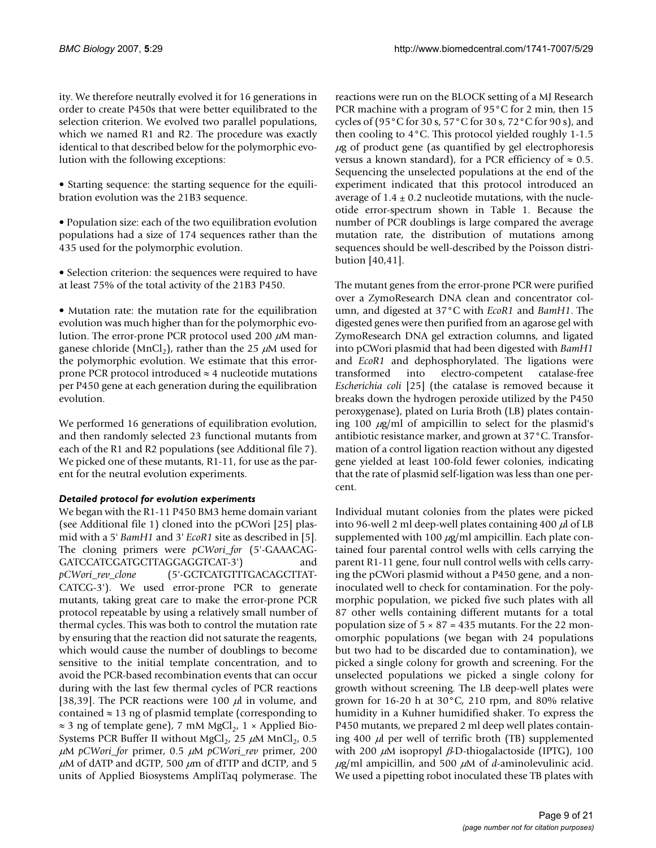ity. We therefore neutrally evolved it for 16 generations in order to create P450s that were better equilibrated to the selection criterion. We evolved two parallel populations, which we named R1 and R2. The procedure was exactly identical to that described below for the polymorphic evolution with the following exceptions:

• Starting sequence: the starting sequence for the equilibration evolution was the 21B3 sequence.

• Population size: each of the two equilibration evolution populations had a size of 174 sequences rather than the 435 used for the polymorphic evolution.

• Selection criterion: the sequences were required to have at least 75% of the total activity of the 21B3 P450.

• Mutation rate: the mutation rate for the equilibration evolution was much higher than for the polymorphic evolution. The error-prone PCR protocol used 200  $\mu$ M manganese chloride (MnCl<sub>2</sub>), rather than the 25  $\mu$ M used for the polymorphic evolution. We estimate that this errorprone PCR protocol introduced  $\approx$  4 nucleotide mutations per P450 gene at each generation during the equilibration evolution.

We performed 16 generations of equilibration evolution, and then randomly selected 23 functional mutants from each of the R1 and R2 populations (see Additional file 7). We picked one of these mutants, R1-11, for use as the parent for the neutral evolution experiments.

## *Detailed protocol for evolution experiments*

We began with the R1-11 P450 BM3 heme domain variant (see Additional file 1) cloned into the pCWori [25] plasmid with a 5' *BamH1* and 3' *EcoR1* site as described in [5]. The cloning primers were *pCWori\_for* (5'-GAAACAG-GATCCATCGATGCTTAGGAGGTCAT-3') and *pCWori\_rev\_clone* (5'-GCTCATGTTTGACAGCTTAT-CATCG-3'). We used error-prone PCR to generate mutants, taking great care to make the error-prone PCR protocol repeatable by using a relatively small number of thermal cycles. This was both to control the mutation rate by ensuring that the reaction did not saturate the reagents, which would cause the number of doublings to become sensitive to the initial template concentration, and to avoid the PCR-based recombination events that can occur during with the last few thermal cycles of PCR reactions [38,39]. The PCR reactions were 100  $\mu$ l in volume, and contained  $\approx$  13 ng of plasmid template (corresponding to  $\approx$  3 ng of template gene), 7 mM MgCl<sub>2</sub>, 1 × Applied Bio-Systems PCR Buffer II without MgCl<sub>2</sub>, 25  $\mu$ M MnCl<sub>2</sub>, 0.5 <sup>µ</sup>M *pCWori\_for* primer, 0.5 µM *pCWori\_rev* primer, 200  $\mu$ M of dATP and dGTP, 500  $\mu$ m of dTTP and dCTP, and 5 units of Applied Biosystems AmpliTaq polymerase. The reactions were run on the BLOCK setting of a MJ Research PCR machine with a program of 95°C for 2 min, then 15 cycles of (95°C for 30 s, 57°C for 30 s, 72°C for 90 s), and then cooling to 4°C. This protocol yielded roughly 1-1.5  $\mu$ g of product gene (as quantified by gel electrophoresis versus a known standard), for a PCR efficiency of  $\approx 0.5$ . Sequencing the unselected populations at the end of the experiment indicated that this protocol introduced an average of  $1.4 \pm 0.2$  nucleotide mutations, with the nucleotide error-spectrum shown in Table 1. Because the number of PCR doublings is large compared the average mutation rate, the distribution of mutations among sequences should be well-described by the Poisson distribution [40,41].

The mutant genes from the error-prone PCR were purified over a ZymoResearch DNA clean and concentrator column, and digested at 37°C with *EcoR1* and *BamH1*. The digested genes were then purified from an agarose gel with ZymoResearch DNA gel extraction columns, and ligated into pCWori plasmid that had been digested with *BamH1* and *EcoR1* and dephosphorylated. The ligations were transformed into electro-competent catalase-free *Escherichia coli* [25] (the catalase is removed because it breaks down the hydrogen peroxide utilized by the P450 peroxygenase), plated on Luria Broth (LB) plates containing 100  $\mu$ g/ml of ampicillin to select for the plasmid's antibiotic resistance marker, and grown at 37°C. Transformation of a control ligation reaction without any digested gene yielded at least 100-fold fewer colonies, indicating that the rate of plasmid self-ligation was less than one percent.

Individual mutant colonies from the plates were picked into 96-well 2 ml deep-well plates containing 400  $\mu$ l of LB supplemented with 100  $\mu$ g/ml ampicillin. Each plate contained four parental control wells with cells carrying the parent R1-11 gene, four null control wells with cells carrying the pCWori plasmid without a P450 gene, and a noninoculated well to check for contamination. For the polymorphic population, we picked five such plates with all 87 other wells containing different mutants for a total population size of  $5 \times 87 = 435$  mutants. For the 22 monomorphic populations (we began with 24 populations but two had to be discarded due to contamination), we picked a single colony for growth and screening. For the unselected populations we picked a single colony for growth without screening. The LB deep-well plates were grown for 16-20 h at 30°C, 210 rpm, and 80% relative humidity in a Kuhner humidified shaker. To express the P450 mutants, we prepared 2 ml deep well plates containing 400  $\mu$ l per well of terrific broth (TB) supplemented with 200  $\mu$ M isopropyl  $\beta$ -D-thiogalactoside (IPTG), 100  $\mu$ g/ml ampicillin, and 500  $\mu$ M of *d*-aminolevulinic acid. We used a pipetting robot inoculated these TB plates with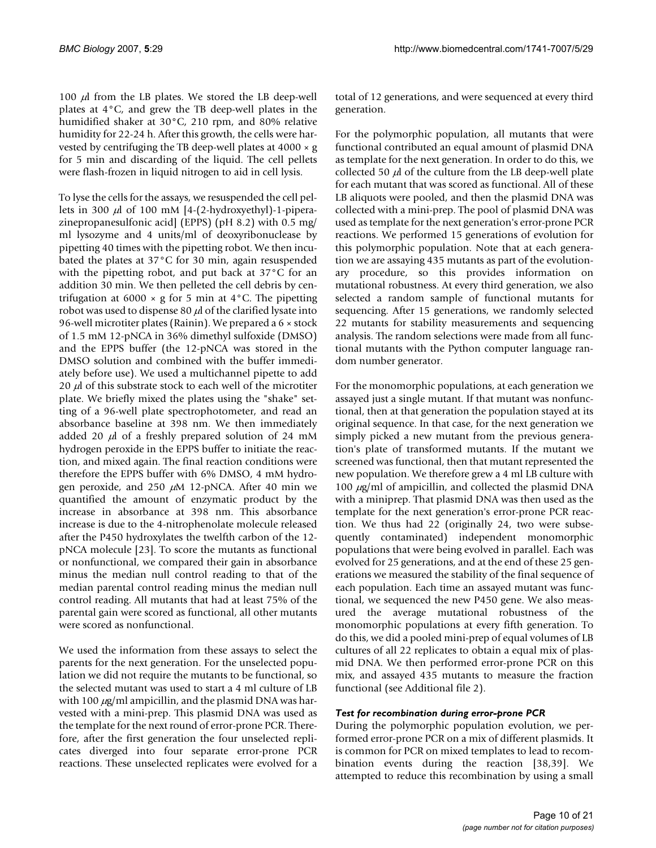100  $\mu$ l from the LB plates. We stored the LB deep-well plates at 4°C, and grew the TB deep-well plates in the humidified shaker at 30°C, 210 rpm, and 80% relative humidity for 22-24 h. After this growth, the cells were harvested by centrifuging the TB deep-well plates at 4000 × g for 5 min and discarding of the liquid. The cell pellets were flash-frozen in liquid nitrogen to aid in cell lysis.

To lyse the cells for the assays, we resuspended the cell pellets in 300  $\mu$ l of 100 mM [4-(2-hydroxyethyl)-1-piperazinepropanesulfonic acid] (EPPS) (pH 8.2) with 0.5 mg/ ml lysozyme and 4 units/ml of deoxyribonuclease by pipetting 40 times with the pipetting robot. We then incubated the plates at 37°C for 30 min, again resuspended with the pipetting robot, and put back at 37°C for an addition 30 min. We then pelleted the cell debris by centrifugation at 6000  $\times$  g for 5 min at 4 $\degree$ C. The pipetting robot was used to dispense 80  $\mu$ l of the clarified lysate into 96-well microtiter plates (Rainin). We prepared a 6 × stock of 1.5 mM 12-pNCA in 36% dimethyl sulfoxide (DMSO) and the EPPS buffer (the 12-pNCA was stored in the DMSO solution and combined with the buffer immediately before use). We used a multichannel pipette to add 20  $\mu$  of this substrate stock to each well of the microtiter plate. We briefly mixed the plates using the "shake" setting of a 96-well plate spectrophotometer, and read an absorbance baseline at 398 nm. We then immediately added 20  $\mu$ l of a freshly prepared solution of 24 mM hydrogen peroxide in the EPPS buffer to initiate the reaction, and mixed again. The final reaction conditions were therefore the EPPS buffer with 6% DMSO, 4 mM hydrogen peroxide, and 250  $\mu$ M 12-pNCA. After 40 min we quantified the amount of enzymatic product by the increase in absorbance at 398 nm. This absorbance increase is due to the 4-nitrophenolate molecule released after the P450 hydroxylates the twelfth carbon of the 12 pNCA molecule [23]. To score the mutants as functional or nonfunctional, we compared their gain in absorbance minus the median null control reading to that of the median parental control reading minus the median null control reading. All mutants that had at least 75% of the parental gain were scored as functional, all other mutants were scored as nonfunctional.

We used the information from these assays to select the parents for the next generation. For the unselected population we did not require the mutants to be functional, so the selected mutant was used to start a 4 ml culture of LB with 100  $\mu$ g/ml ampicillin, and the plasmid DNA was harvested with a mini-prep. This plasmid DNA was used as the template for the next round of error-prone PCR. Therefore, after the first generation the four unselected replicates diverged into four separate error-prone PCR reactions. These unselected replicates were evolved for a

total of 12 generations, and were sequenced at every third generation.

For the polymorphic population, all mutants that were functional contributed an equal amount of plasmid DNA as template for the next generation. In order to do this, we collected 50  $\mu$  of the culture from the LB deep-well plate for each mutant that was scored as functional. All of these LB aliquots were pooled, and then the plasmid DNA was collected with a mini-prep. The pool of plasmid DNA was used as template for the next generation's error-prone PCR reactions. We performed 15 generations of evolution for this polymorphic population. Note that at each generation we are assaying 435 mutants as part of the evolutionary procedure, so this provides information on mutational robustness. At every third generation, we also selected a random sample of functional mutants for sequencing. After 15 generations, we randomly selected 22 mutants for stability measurements and sequencing analysis. The random selections were made from all functional mutants with the Python computer language random number generator.

For the monomorphic populations, at each generation we assayed just a single mutant. If that mutant was nonfunctional, then at that generation the population stayed at its original sequence. In that case, for the next generation we simply picked a new mutant from the previous generation's plate of transformed mutants. If the mutant we screened was functional, then that mutant represented the new population. We therefore grew a 4 ml LB culture with 100  $\mu$ g/ml of ampicillin, and collected the plasmid DNA with a miniprep. That plasmid DNA was then used as the template for the next generation's error-prone PCR reaction. We thus had 22 (originally 24, two were subsequently contaminated) independent monomorphic populations that were being evolved in parallel. Each was evolved for 25 generations, and at the end of these 25 generations we measured the stability of the final sequence of each population. Each time an assayed mutant was functional, we sequenced the new P450 gene. We also measured the average mutational robustness of the monomorphic populations at every fifth generation. To do this, we did a pooled mini-prep of equal volumes of LB cultures of all 22 replicates to obtain a equal mix of plasmid DNA. We then performed error-prone PCR on this mix, and assayed 435 mutants to measure the fraction functional (see Additional file 2).

## *Test for recombination during error-prone PCR*

During the polymorphic population evolution, we performed error-prone PCR on a mix of different plasmids. It is common for PCR on mixed templates to lead to recombination events during the reaction [38,39]. We attempted to reduce this recombination by using a small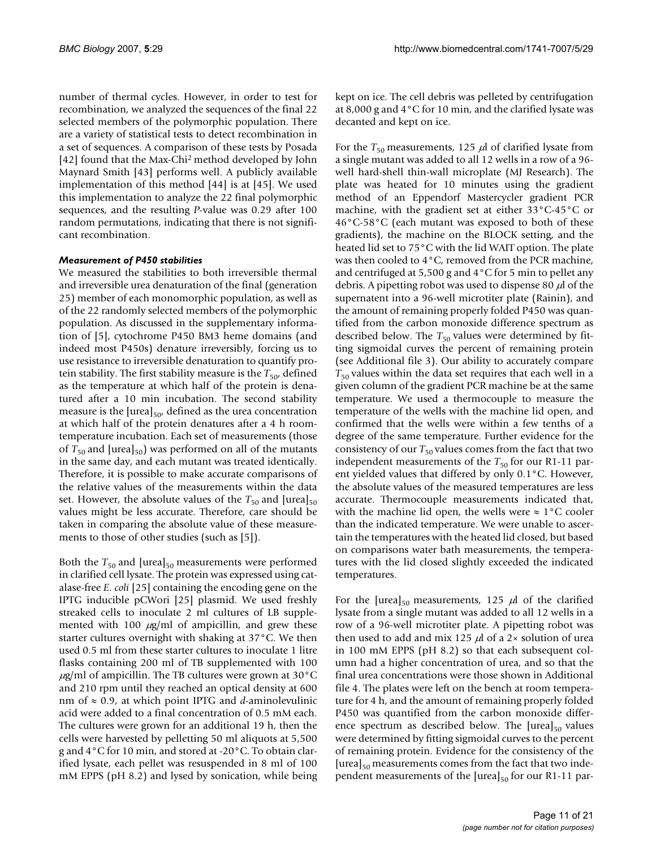number of thermal cycles. However, in order to test for recombination, we analyzed the sequences of the final 22 selected members of the polymorphic population. There are a variety of statistical tests to detect recombination in a set of sequences. A comparison of these tests by Posada [42] found that the Max-Chi2 method developed by John Maynard Smith [43] performs well. A publicly available implementation of this method [44] is at [45]. We used this implementation to analyze the 22 final polymorphic sequences, and the resulting *P*-value was 0.29 after 100 random permutations, indicating that there is not significant recombination.

#### *Measurement of P450 stabilities*

We measured the stabilities to both irreversible thermal and irreversible urea denaturation of the final (generation 25) member of each monomorphic population, as well as of the 22 randomly selected members of the polymorphic population. As discussed in the supplementary information of [5], cytochrome P450 BM3 heme domains (and indeed most P450s) denature irreversibly, forcing us to use resistance to irreversible denaturation to quantify protein stability. The first stability measure is the  $T_{50}$ , defined as the temperature at which half of the protein is denatured after a 10 min incubation. The second stability measure is the  $[{\text{urea}}]_{50}$ , defined as the urea concentration at which half of the protein denatures after a 4 h roomtemperature incubation. Each set of measurements (those of  $T_{50}$  and [urea]<sub>50</sub>) was performed on all of the mutants in the same day, and each mutant was treated identically. Therefore, it is possible to make accurate comparisons of the relative values of the measurements within the data set. However, the absolute values of the  $T_{50}$  and [urea]<sub>50</sub> values might be less accurate. Therefore, care should be taken in comparing the absolute value of these measurements to those of other studies (such as [5]).

Both the  $T_{50}$  and [urea]<sub>50</sub> measurements were performed in clarified cell lysate. The protein was expressed using catalase-free *E. coli* [25] containing the encoding gene on the IPTG inducible pCWori [25] plasmid. We used freshly streaked cells to inoculate 2 ml cultures of LB supplemented with 100  $\mu$ g/ml of ampicillin, and grew these starter cultures overnight with shaking at 37°C. We then used 0.5 ml from these starter cultures to inoculate 1 litre flasks containing 200 ml of TB supplemented with 100  $\mu$ g/ml of ampicillin. The TB cultures were grown at 30 $^{\circ}$ C and 210 rpm until they reached an optical density at 600 nm of ≈ 0.9, at which point IPTG and *d*-aminolevulinic acid were added to a final concentration of 0.5 mM each. The cultures were grown for an additional 19 h, then the cells were harvested by pelletting 50 ml aliquots at 5,500 g and 4°C for 10 min, and stored at -20°C. To obtain clarified lysate, each pellet was resuspended in 8 ml of 100 mM EPPS (pH 8.2) and lysed by sonication, while being

kept on ice. The cell debris was pelleted by centrifugation at 8,000 g and 4°C for 10 min, and the clarified lysate was decanted and kept on ice.

For the  $T_{50}$  measurements, 125  $\mu$ l of clarified lysate from a single mutant was added to all 12 wells in a row of a 96 well hard-shell thin-wall microplate (MJ Research). The plate was heated for 10 minutes using the gradient method of an Eppendorf Mastercycler gradient PCR machine, with the gradient set at either 33°C-45°C or 46°C-58°C (each mutant was exposed to both of these gradients), the machine on the BLOCK setting, and the heated lid set to 75°C with the lid WAIT option. The plate was then cooled to 4°C, removed from the PCR machine, and centrifuged at 5,500 g and 4°C for 5 min to pellet any debris. A pipetting robot was used to dispense 80  $\mu$  of the supernatent into a 96-well microtiter plate (Rainin), and the amount of remaining properly folded P450 was quantified from the carbon monoxide difference spectrum as described below. The  $T_{50}$  values were determined by fitting sigmoidal curves the percent of remaining protein (see Additional file 3). Our ability to accurately compare  $T_{50}$  values within the data set requires that each well in a given column of the gradient PCR machine be at the same temperature. We used a thermocouple to measure the temperature of the wells with the machine lid open, and confirmed that the wells were within a few tenths of a degree of the same temperature. Further evidence for the consistency of our  $T_{50}$  values comes from the fact that two independent measurements of the  $T_{50}$  for our R1-11 parent yielded values that differed by only 0.1°C. However, the absolute values of the measured temperatures are less accurate. Thermocouple measurements indicated that, with the machine lid open, the wells were  $\approx 1^{\circ}$ C cooler than the indicated temperature. We were unable to ascertain the temperatures with the heated lid closed, but based on comparisons water bath measurements, the temperatures with the lid closed slightly exceeded the indicated temperatures.

For the [urea]<sub>50</sub> measurements, 125  $\mu$ l of the clarified lysate from a single mutant was added to all 12 wells in a row of a 96-well microtiter plate. A pipetting robot was then used to add and mix 125  $\mu$ l of a 2× solution of urea in 100 mM EPPS (pH 8.2) so that each subsequent column had a higher concentration of urea, and so that the final urea concentrations were those shown in Additional file 4. The plates were left on the bench at room temperature for 4 h, and the amount of remaining properly folded P450 was quantified from the carbon monoxide difference spectrum as described below. The  $[urea]_{50}$  values were determined by fitting sigmoidal curves to the percent of remaining protein. Evidence for the consistency of the  $[{\rm urea}]_{50}$  measurements comes from the fact that two independent measurements of the  $[{u}$ rea $]_{50}$  for our R1-11 par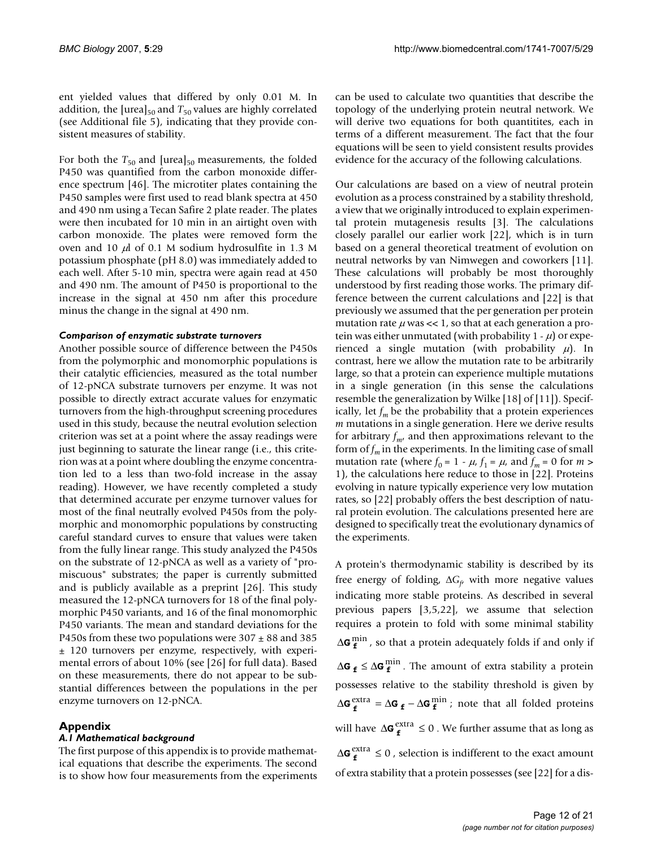ent yielded values that differed by only 0.01 M. In addition, the [urea] $_{50}$  and  $T_{50}$  values are highly correlated (see Additional file 5), indicating that they provide consistent measures of stability.

For both the  $T_{50}$  and [urea]<sub>50</sub> measurements, the folded P450 was quantified from the carbon monoxide difference spectrum [46]. The microtiter plates containing the P450 samples were first used to read blank spectra at 450 and 490 nm using a Tecan Safire 2 plate reader. The plates were then incubated for 10 min in an airtight oven with carbon monoxide. The plates were removed form the oven and 10  $\mu$ l of 0.1 M sodium hydrosulfite in 1.3 M potassium phosphate (pH 8.0) was immediately added to each well. After 5-10 min, spectra were again read at 450 and 490 nm. The amount of P450 is proportional to the increase in the signal at 450 nm after this procedure minus the change in the signal at 490 nm.

#### *Comparison of enzymatic substrate turnovers*

Another possible source of difference between the P450s from the polymorphic and monomorphic populations is their catalytic efficiencies, measured as the total number of 12-pNCA substrate turnovers per enzyme. It was not possible to directly extract accurate values for enzymatic turnovers from the high-throughput screening procedures used in this study, because the neutral evolution selection criterion was set at a point where the assay readings were just beginning to saturate the linear range (i.e., this criterion was at a point where doubling the enzyme concentration led to a less than two-fold increase in the assay reading). However, we have recently completed a study that determined accurate per enzyme turnover values for most of the final neutrally evolved P450s from the polymorphic and monomorphic populations by constructing careful standard curves to ensure that values were taken from the fully linear range. This study analyzed the P450s on the substrate of 12-pNCA as well as a variety of "promiscuous" substrates; the paper is currently submitted and is publicly available as a preprint [26]. This study measured the 12-pNCA turnovers for 18 of the final polymorphic P450 variants, and 16 of the final monomorphic P450 variants. The mean and standard deviations for the P450s from these two populations were  $307 \pm 88$  and  $385$ ± 120 turnovers per enzyme, respectively, with experimental errors of about 10% (see [26] for full data). Based on these measurements, there do not appear to be substantial differences between the populations in the per enzyme turnovers on 12-pNCA.

# **Appendix**

#### *A.1 Mathematical background*

The first purpose of this appendix is to provide mathematical equations that describe the experiments. The second is to show how four measurements from the experiments can be used to calculate two quantities that describe the topology of the underlying protein neutral network. We will derive two equations for both quantitites, each in terms of a different measurement. The fact that the four equations will be seen to yield consistent results provides evidence for the accuracy of the following calculations.

Our calculations are based on a view of neutral protein evolution as a process constrained by a stability threshold, a view that we originally introduced to explain experimental protein mutagenesis results [3]. The calculations closely parallel our earlier work [22], which is in turn based on a general theoretical treatment of evolution on neutral networks by van Nimwegen and coworkers [11]. These calculations will probably be most thoroughly understood by first reading those works. The primary difference between the current calculations and [22] is that previously we assumed that the per generation per protein mutation rate  $\mu$  was << 1, so that at each generation a protein was either unmutated (with probability  $1 - \mu$ ) or experienced a single mutation (with probability  $\mu$ ). In contrast, here we allow the mutation rate to be arbitrarily large, so that a protein can experience multiple mutations in a single generation (in this sense the calculations resemble the generalization by Wilke [18] of [11]). Specifically, let  $f_m$  be the probability that a protein experiences *m* mutations in a single generation. Here we derive results for arbitrary  $f_{m'}$  and then approximations relevant to the form of  $f_m$  in the experiments. In the limiting case of small mutation rate (where  $f_0 = 1 - \mu$ ,  $f_1 = \mu$ , and  $f_m = 0$  for  $m >$ 1), the calculations here reduce to those in [22]. Proteins evolving in nature typically experience very low mutation rates, so [22] probably offers the best description of natural protein evolution. The calculations presented here are designed to specifically treat the evolutionary dynamics of the experiments.

A protein's thermodynamic stability is described by its free energy of folding,  $\Delta G_f$  with more negative values indicating more stable proteins. As described in several previous papers [3,5,22], we assume that selection requires a protein to fold with some minimal stability ∆**G**  $_{\text{f}}^{\text{min}}$  , so that a protein adequately folds if and only if ∆G  $_f$  ≤ ∆G $_f^{\min}$ . The amount of extra stability a protein possesses relative to the stability threshold is given by  $\Delta$ **G**  $_{\text{f}}$ <sup>extra</sup> =  $\Delta$ **G**  $_{\text{f}}$  −  $\Delta$ **G**  $_{\text{f}}$ <sup>min</sup>; note that all folded proteins will have  $\Delta G_f^{\text{extra}} \leq 0$  . We further assume that as long as ∆G $_{f}^{extra}$  ≤ 0, selection is indifferent to the exact amount of extra stability that a protein possesses (see [22] for a dis-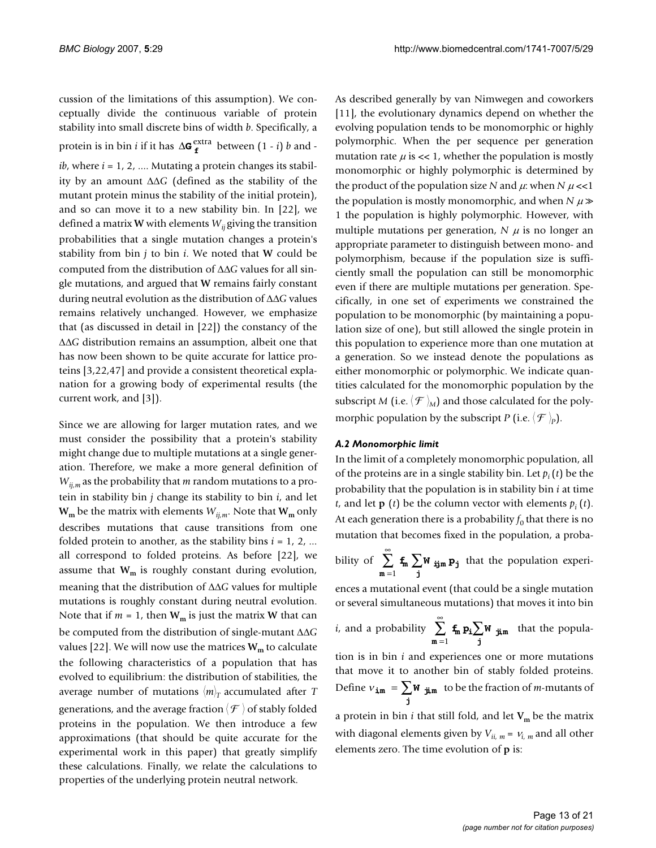cussion of the limitations of this assumption). We conceptually divide the continuous variable of protein stability into small discrete bins of width *b*. Specifically, a protein is in bin *i* if it has  $\Delta$ **G**  $_{f}^{extra}$  between (1 - *i*) *b* and -*, where*  $*i* = 1, 2, ...$  *Mutating a protein changes its stabil*ity by an amount ∆∆*G* (defined as the stability of the mutant protein minus the stability of the initial protein), and so can move it to a new stability bin. In [22], we defined a matrix **W** with elements  $W_{ii}$  giving the transition probabilities that a single mutation changes a protein's stability from bin *j* to bin *i*. We noted that **W** could be computed from the distribution of ∆∆*G* values for all single mutations, and argued that **W** remains fairly constant during neutral evolution as the distribution of ∆∆*G* values remains relatively unchanged. However, we emphasize that (as discussed in detail in [22]) the constancy of the ∆∆*G* distribution remains an assumption, albeit one that has now been shown to be quite accurate for lattice proteins [3,22,47] and provide a consistent theoretical explanation for a growing body of experimental results (the current work, and [3]).

Since we are allowing for larger mutation rates, and we must consider the possibility that a protein's stability might change due to multiple mutations at a single generation. Therefore, we make a more general definition of *Wij,m* as the probability that *m* random mutations to a protein in stability bin *j* change its stability to bin *i*, and let  $W_m$  be the matrix with elements  $W_{ij,m}$ . Note that  $W_m$  only describes mutations that cause transitions from one folded protein to another, as the stability bins  $i = 1, 2, ...$ all correspond to folded proteins. As before [22], we assume that  $W_m$  is roughly constant during evolution, meaning that the distribution of ∆∆*G* values for multiple mutations is roughly constant during neutral evolution. Note that if  $m = 1$ , then  $W_m$  is just the matrix **W** that can be computed from the distribution of single-mutant ∆∆*G* values [22]. We will now use the matrices  $W_m$  to calculate the following characteristics of a population that has evolved to equilibrium: the distribution of stabilities, the average number of mutations  $\langle m \rangle_T$  accumulated after *T* generations, and the average fraction  $\langle \mathcal{F} \rangle$  of stably folded proteins in the population. We then introduce a few approximations (that should be quite accurate for the experimental work in this paper) that greatly simplify these calculations. Finally, we relate the calculations to properties of the underlying protein neutral network.

As described generally by van Nimwegen and coworkers [11], the evolutionary dynamics depend on whether the evolving population tends to be monomorphic or highly polymorphic. When the per sequence per generation mutation rate  $\mu$  is << 1, whether the population is mostly monomorphic or highly polymorphic is determined by the product of the population size *N* and  $\mu$ : when *N*  $\mu$  <<1 the population is mostly monomorphic, and when  $N \mu \gg$ 1 the population is highly polymorphic. However, with multiple mutations per generation,  $N \mu$  is no longer an appropriate parameter to distinguish between mono- and polymorphism, because if the population size is sufficiently small the population can still be monomorphic even if there are multiple mutations per generation. Specifically, in one set of experiments we constrained the population to be monomorphic (by maintaining a population size of one), but still allowed the single protein in this population to experience more than one mutation at a generation. So we instead denote the populations as either monomorphic or polymorphic. We indicate quantities calculated for the monomorphic population by the subscript *M* (i.e.  $\langle \mathcal{F} \rangle_{\!\!M}$ ) and those calculated for the polymorphic population by the subscript *P* (i.e.  $\langle \mathcal{F} \rangle_p$ ).

## *A.2 Monomorphic limit*

In the limit of a completely monomorphic population, all of the proteins are in a single stability bin. Let  $p_i(t)$  be the probability that the population is in stability bin *i* at time  $t$ , and let **p** (*t*) be the column vector with elements  $p_i(t)$ . At each generation there is a probability  $f_0$  that there is no mutation that becomes fixed in the population, a proba-

bility of 
$$
\sum_{m=1}^{\infty} f_m \sum_{j} W_{ijm} p_j
$$
 that the population experi-

ences a mutational event (that could be a single mutation or several simultaneous mutations) that moves it into bin

*i*, and a probability 
$$
\sum_{m=1}^{\infty} f_m p_i \sum_{j} W_{j,m}
$$
 that the popula-

tion is in bin *i* and experiences one or more mutations that move it to another bin of stably folded proteins. Define  $v_{\text{im}} = \sum \mathbf{W}_{\text{im}}$  to be the fraction of *m*-mutants of  $\mathbf{y}_{\mathbf{m}} = \sum_{\mathbf{j}} \mathbf{W}_{\mathbf{j} \mathbf{k}}$ 

a protein in bin  $i$  that still fold, and let  $V_m$  be the matrix with diagonal elements given by  $V_{ii, m} = V_{i, m}$  and all other elements zero. The time evolution of **p** is: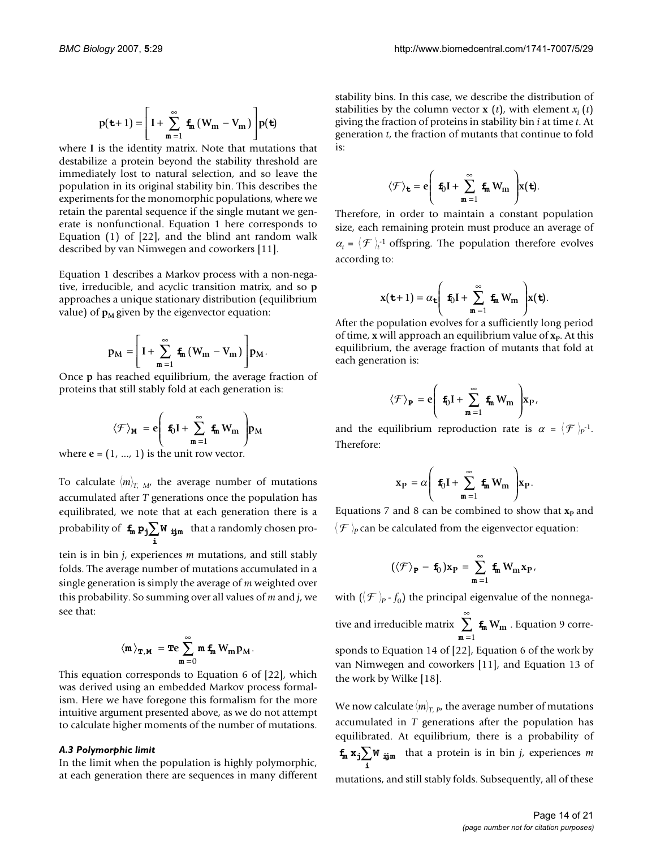$$
p(\mathbf{t}+1) = \left[I + \sum_{m=1}^{\infty} \mathbf{f}_m (W_m - V_m)\right] p(\mathbf{t})
$$

where I is the identity matrix. Note that mutations that destabilize a protein beyond the stability threshold are immediately lost to natural selection, and so leave the population in its original stability bin. This describes the experiments for the monomorphic populations, where we retain the parental sequence if the single mutant we generate is nonfunctional. Equation 1 here corresponds to Equation (1) of [22], and the blind ant random walk described by van Nimwegen and coworkers [11].

Equation 1 describes a Markov process with a non-negative, irreducible, and acyclic transition matrix, and so **p** approaches a unique stationary distribution (equilibrium value) of  $p_M$  given by the eigenvector equation:

$$
p_M=\!\Bigg[\,I+\sum_{m=1}^\infty\,{\textbf{f}}_m\,\big(W_m-V_m\big)\Bigg]\!p_M.
$$

Once **p** has reached equilibrium, the average fraction of proteins that still stably fold at each generation is:

$$
\langle \mathcal{F} \rangle_{M} = e \left( \mathbf{f}_{0} \mathbf{I} + \sum_{m=1}^{\infty} \mathbf{f}_{m} W_{m} \right) p_{M}
$$

where  $e = (1, ..., 1)$  is the unit row vector.

To calculate  $\langle m \rangle_{T, M}$ , the average number of mutations accumulated after *T* generations once the population has equilibrated, we note that at each generation there is a probability of  $\mathbf{f}_m \, \mathbf{p_j} \sum \mathbf{W} \, \mathbf{y}_m$  that a randomly chosen pro- $\sum_{\mathbf{i}}$ W ij

tein is in bin *j*, experiences *m* mutations, and still stably folds. The average number of mutations accumulated in a single generation is simply the average of *m* weighted over this probability. So summing over all values of *m* and *j*, we see that:

$$
\left\langle \boldsymbol{m}\right\rangle_{\boldsymbol{T},\boldsymbol{M}}\ =\boldsymbol{\mathrm{Te}}\sum_{\boldsymbol{m}\,=\,0}^{\infty}\boldsymbol{m}\,\,\boldsymbol{\mathrm{f}}_{\boldsymbol{m}}\,\boldsymbol{W}_{\boldsymbol{m}}\,\boldsymbol{p}_{\boldsymbol{M}}.
$$

This equation corresponds to Equation 6 of [22], which was derived using an embedded Markov process formalism. Here we have foregone this formalism for the more intuitive argument presented above, as we do not attempt to calculate higher moments of the number of mutations.

#### *A.3 Polymorphic limit*

In the limit when the population is highly polymorphic, at each generation there are sequences in many different stability bins. In this case, we describe the distribution of stabilities by the column vector **x**  $(t)$ , with element  $x_i(t)$ giving the fraction of proteins in stability bin *i* at time *t*. At generation *t*, the fraction of mutants that continue to fold is:

$$
\langle \mathcal{F} \rangle_{\mathbf{t}} = e \left( \mathbf{f}_0 \mathbf{I} + \sum_{m=1}^{\infty} \mathbf{f}_m W_m \right) x(\mathbf{t}).
$$

Therefore, in order to maintain a constant population size, each remaining protein must produce an average of  $\alpha_t = \langle \mathcal{F} \rangle_t^{-1}$  offspring. The population therefore evolves according to:

$$
\mathbf{x}(\mathbf{t}+1) = \alpha_{\mathbf{t}} \left( \mathbf{f}_0 \mathbf{I} + \sum_{m=1}^{\infty} \mathbf{f}_m \mathbf{W}_m \right) \mathbf{x}(\mathbf{t}).
$$

After the population evolves for a sufficiently long period of time, **x** will approach an equilibrium value of **x**<sub>P</sub>. At this equilibrium, the average fraction of mutants that fold at each generation is:

$$
\langle \mathcal{F} \rangle_{\textbf{P}} = e \Bigg( \textbf{ f}_0 I + \sum_{\textbf{m}=1}^{\infty} \textbf{ f}_{\textbf{m}} \, W_{\textbf{m}} \, \Bigg) \! x_{\textbf{P}} \, ,
$$

and the equilibrium reproduction rate is  $\alpha = \langle \mathcal{F} \rangle_{P}$ <sup>-1</sup>. Therefore:

$$
\mathbf{x}_{\mathbf{P}} = \alpha \left( \mathbf{f}_0 \mathbf{I} + \sum_{m=1}^{\infty} \mathbf{f}_m W_m \right) \mathbf{x}_{\mathbf{P}}.
$$

Equations 7 and 8 can be combined to show that  $\mathbf{x}_p$  and  $\langle \mathcal{F} \rangle_p$  can be calculated from the eigenvector equation:

$$
(\langle \mathcal{F} \rangle_{\mathbf{P}} - \mathbf{f}_0) x_{P} = \sum_{m=1}^{\infty} \mathbf{f}_m W_m x_{P},
$$

with ( $\langle \mathcal{F} \rangle_{p}$  -  $f_{0}$ ) the principal eigenvalue of the nonnegative and irreducible matrix  $\sum_{m}$   $\mathbf{f}_{m}$   $W_{m}$  . Equation 9 corresponds to Equation 14 of [22], Equation 6 of the work by van Nimwegen and coworkers [11], and Equation 13 of the work by Wilke [18]. m **Wm** = ∞ ∑ 1

We now calculate  $\langle m \rangle_{T,~P}$ , the average number of mutations accumulated in *T* generations after the population has equilibrated. At equilibrium, there is a probability of  $f_m x_j \sum W_{ijm}$  that a protein is in bin *j*, experiences *m* i

mutations, and still stably folds. Subsequently, all of these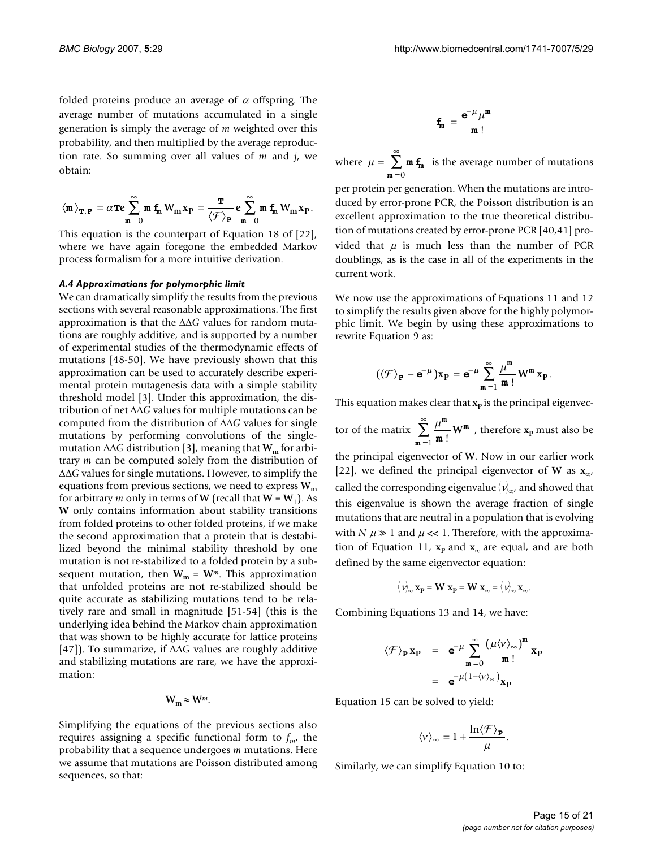folded proteins produce an average of  $\alpha$  offspring. The average number of mutations accumulated in a single generation is simply the average of *m* weighted over this probability, and then multiplied by the average reproduction rate. So summing over all values of *m* and *j*, we obtain:

$$
\left\langle \textbf{m} \right\rangle_{\textbf{T},\textbf{P}} \, = \alpha \textbf{Te} \sum_{\textbf{m}=0}^{\infty} \textbf{m} \, \textbf{f}_\textbf{m} \, W_\textbf{m} x_\textbf{P} \, = \frac{\textbf{T}}{\left\langle \mathcal{F} \right\rangle_{\textbf{P}}} \, \textbf{e} \sum_{\textbf{m}=0}^{\infty} \textbf{m} \, \textbf{f}_\textbf{m} \, W_\textbf{m} x_\textbf{P}.
$$

This equation is the counterpart of Equation 18 of [22], where we have again foregone the embedded Markov process formalism for a more intuitive derivation.

#### *A.4 Approximations for polymorphic limit*

We can dramatically simplify the results from the previous sections with several reasonable approximations. The first approximation is that the ∆∆*G* values for random mutations are roughly additive, and is supported by a number of experimental studies of the thermodynamic effects of mutations [48-50]. We have previously shown that this approximation can be used to accurately describe experimental protein mutagenesis data with a simple stability threshold model [3]. Under this approximation, the distribution of net ∆∆*G* values for multiple mutations can be computed from the distribution of ∆∆*G* values for single mutations by performing convolutions of the singlemutation ∆∆*G* distribution [3], meaning that **Wm** for arbitrary *m* can be computed solely from the distribution of ∆∆*G* values for single mutations. However, to simplify the equations from previous sections, we need to express  $W_m$ for arbitrary *m* only in terms of **W** (recall that  $W = W_1$ ). As **W** only contains information about stability transitions from folded proteins to other folded proteins, if we make the second approximation that a protein that is destabilized beyond the minimal stability threshold by one mutation is not re-stabilized to a folded protein by a subsequent mutation, then  $W_m = W^m$ . This approximation that unfolded proteins are not re-stabilized should be quite accurate as stabilizing mutations tend to be relatively rare and small in magnitude [51-54] (this is the underlying idea behind the Markov chain approximation that was shown to be highly accurate for lattice proteins [47]). To summarize, if ∆∆*G* values are roughly additive and stabilizing mutations are rare, we have the approximation:

 $W_m \approx W^m$ .

Simplifying the equations of the previous sections also requires assigning a specific functional form to  $f_{m}$ , the probability that a sequence undergoes *m* mutations. Here we assume that mutations are Poisson distributed among sequences, so that:

$$
\textbf{f}_m~= \frac{\textbf{e}^{-\mu}\mu^m}{m\,!}
$$

where  $\mu = \sum \mathbf{m} \mathbf{f}_{\mathbf{m}}$  is the average number of mutations =  $\sum^{\infty}$  m  $\mathbf{f}_m$  $m = 0$ 

per protein per generation. When the mutations are introduced by error-prone PCR, the Poisson distribution is an excellent approximation to the true theoretical distribution of mutations created by error-prone PCR [40,41] provided that  $\mu$  is much less than the number of PCR doublings, as is the case in all of the experiments in the current work.

We now use the approximations of Equations 11 and 12 to simplify the results given above for the highly polymorphic limit. We begin by using these approximations to rewrite Equation 9 as:

$$
\left(\langle\mathcal{F}\rangle_{\bm{P}}-\bm{e}^{-\mu}\right)x_P=\bm{e}^{-\mu}\sum_{m=1}^\infty\frac{\mu^m}{m\,!}\,W^m\,x_P.
$$

This equation makes clear that  $x_p$  is the principal eigenvec-

tor of the matrix  $\sum_{n=1}^{\infty} \frac{\mu^m}{m!} W^m$ , therefore  $x_p$  must also be the principal eigenvector of **W**. Now in our earlier work [22], we defined the principal eigenvector of **W** as **x**∞, called the corresponding eigenvalue  $\langle \nu \rangle_{\!\infty}$ , and showed that this eigenvalue is shown the average fraction of single mutations that are neutral in a population that is evolving with *N*  $\mu \gg 1$  and  $\mu \ll 1$ . Therefore, with the approximation of Equation 11,  $x_p$  and  $x_\infty$  are equal, and are both defined by the same eigenvector equation:  $\sum_{m=1}^{N} \frac{w}{m!} W$ = ∞ ∑ 1

$$
\langle \mathbf{v} \rangle_{\infty} \mathbf{x}_{\mathbf{p}} = \mathbf{W} \mathbf{x}_{\mathbf{p}} = \mathbf{W} \mathbf{x}_{\infty} = \langle \mathbf{v} \rangle_{\infty} \mathbf{x}_{\infty}.
$$

Combining Equations 13 and 14, we have:

$$
\langle \mathcal{F} \rangle_{\mathbf{P}} \mathbf{x}_{\mathbf{P}} = \mathbf{e}^{-\mu} \sum_{m=0}^{\infty} \frac{(\mu \langle v \rangle_{\infty})^m}{m!} \mathbf{x}_{\mathbf{P}}
$$

$$
= \mathbf{e}^{-\mu (1 - \langle v \rangle_{\infty})} \mathbf{x}_{\mathbf{P}}
$$

Equation 15 can be solved to yield:

$$
\langle v \rangle_\infty = 1 + \frac{\ln \langle \mathcal{F} \rangle_{\mathbf{P}}}{\mu}.
$$

Similarly, we can simplify Equation 10 to: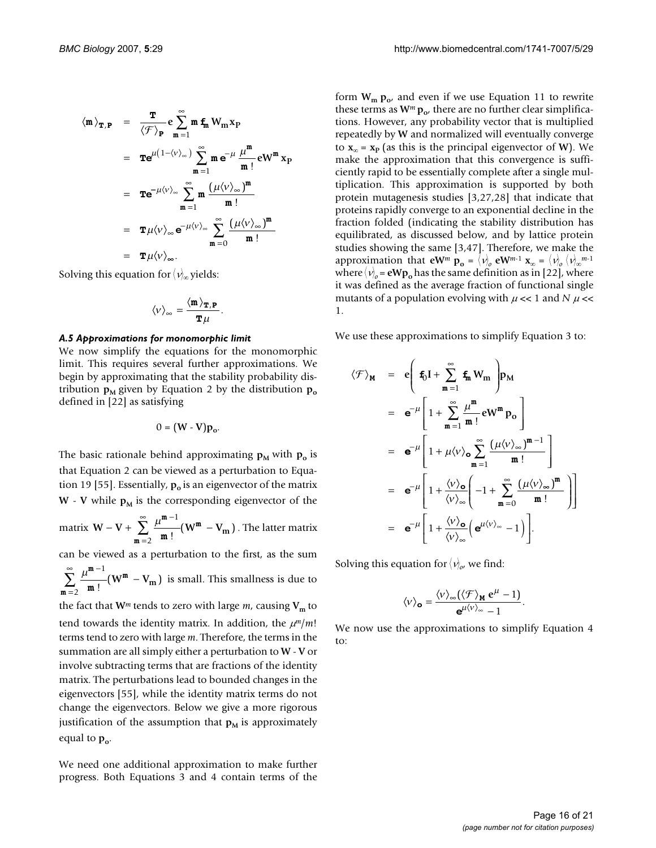$$
\langle \mathbf{m} \rangle_{\mathbf{T}, \mathbf{P}} = \frac{\mathbf{T}}{\langle \mathcal{F} \rangle_{\mathbf{P}}} \mathbf{e} \sum_{m=1}^{\infty} \mathbf{m} \mathbf{f}_{m} W_{m} \mathbf{x}_{p}
$$
  
\n
$$
= \mathbf{T} \mathbf{e}^{\mu (1 - \langle v \rangle_{\infty})} \sum_{m=1}^{\infty} \mathbf{m} \mathbf{e}^{-\mu} \frac{\mu^{m}}{m!} \mathbf{e} W^{m} \mathbf{x}_{p}
$$
  
\n
$$
= \mathbf{T} \mathbf{e}^{-\mu \langle v \rangle_{\infty}} \sum_{m=1}^{\infty} \mathbf{m} \frac{(\mu \langle v \rangle_{\infty})^{m}}{m!}
$$
  
\n
$$
= \mathbf{T} \mu \langle v \rangle_{\infty} \mathbf{e}^{-\mu \langle v \rangle_{\infty}} \sum_{m=0}^{\infty} \frac{(\mu \langle v \rangle_{\infty})^{m}}{m!}
$$
  
\n
$$
= \mathbf{T} \mu \langle v \rangle_{\infty}.
$$

Solving this equation for  $\langle \nu \rangle_{\infty}$  yields:

$$
\langle \nu \rangle_{\infty} = \frac{\langle \mathbf{m} \rangle_{\mathbf{T},\mathbf{P}}}{\mathbf{T} \mu}.
$$

#### *A.5 Approximations for monomorphic limit*

We now simplify the equations for the monomorphic limit. This requires several further approximations. We begin by approximating that the stability probability distribution  $p_M$  given by Equation 2 by the distribution  $p_0$ defined in [22] as satisfying

$$
0 = (W - V)p_o.
$$

The basic rationale behind approximating  $p_M$  with  $p_o$  is that Equation 2 can be viewed as a perturbation to Equation 19 [55]. Essentially,  $p_0$  is an eigenvector of the matrix  $W - V$  while  $p_M$  is the corresponding eigenvector of the

matrix  $W - V + \sum_{m=1}^{\infty} (W^m - V_m)$ . The latter matrix − =  $\sum_{m=2}^{\infty} \frac{\mu^m}{m}$ m m 1  $\frac{1}{2} \frac{\mu}{m!} (W^m - V_m)$ 

can be viewed as a perturbation to the first, as the sum

 $\mu^{\mathbf{m}-1}$  (W<sup>m</sup> – V<sub>m</sub>) is small. This smallness is due to m m m − =  $\sum_{m=1}^{\infty} \frac{\mu^{m-1}}{(W^m \frac{V}{2}$  **m** !  $(W^{m} - V_{m})$ 

the fact that  $W^m$  tends to zero with large  $m$ , causing  $V_m$  to tend towards the identity matrix. In addition, the  $\mu^m/m!$ terms tend to zero with large *m*. Therefore, the terms in the summation are all simply either a perturbation to **W** - **V** or involve subtracting terms that are fractions of the identity matrix. The perturbations lead to bounded changes in the eigenvectors [55], while the identity matrix terms do not change the eigenvectors. Below we give a more rigorous justification of the assumption that  $p_M$  is approximately equal to  $p_{o}$ .

We need one additional approximation to make further progress. Both Equations 3 and 4 contain terms of the

form  $W_m p_{o'}$  and even if we use Equation 11 to rewrite these terms as  $W^m p_{\alpha}$ , there are no further clear simplifications. However, any probability vector that is multiplied repeatedly by **W** and normalized will eventually converge to  $\mathbf{x}_\infty = \mathbf{x}_p$  (as this is the principal eigenvector of **W**). We make the approximation that this convergence is sufficiently rapid to be essentially complete after a single multiplication. This approximation is supported by both protein mutagenesis studies [3[,27,](#page-20-0)28] that indicate that proteins rapidly converge to an exponential decline in the fraction folded (indicating the stability distribution has equilibrated, as discussed below, and by lattice protein studies showing the same [3,47]. Therefore, we make the approximation that  $eW^m$   $p_o = \langle v \rangle_o$   $eW^{m-1}$   $x_\infty = \langle v \rangle_o \langle v \rangle_\infty^{m-1}$ where  $\langle v\rangle_o$  =  $\mathsf{eWp}_o$  has the same definition as in [22], where it was defined as the average fraction of functional single mutants of a population evolving with  $\mu$  << 1 and *N*  $\mu$  << 1.

We use these approximations to simplify Equation 3 to:

$$
\langle \mathcal{F} \rangle_{\mathbf{M}} = \mathbf{e} \Bigg( \mathbf{f}_0 \mathbf{I} + \sum_{m=1}^{\infty} \mathbf{f}_m \mathbf{W}_m \Bigg) \mathbf{p}_M
$$
  
\n
$$
= \mathbf{e}^{-\mu} \Bigg[ 1 + \sum_{m=1}^{\infty} \frac{\mu^m}{m!} \mathbf{e} \mathbf{W}^m \mathbf{p}_0 \Bigg]
$$
  
\n
$$
= \mathbf{e}^{-\mu} \Bigg[ 1 + \mu \langle \mathbf{v} \rangle_{\mathbf{0}} \sum_{m=1}^{\infty} \frac{(\mu \langle \mathbf{v} \rangle_{\infty})^{m-1}}{m!} \Bigg]
$$
  
\n
$$
= \mathbf{e}^{-\mu} \Bigg[ 1 + \frac{\langle \mathbf{v} \rangle_{\mathbf{0}}}{\langle \mathbf{v} \rangle_{\infty}} \Bigg( -1 + \sum_{m=0}^{\infty} \frac{(\mu \langle \mathbf{v} \rangle_{\infty})^m}{m!} \Bigg) \Bigg]
$$
  
\n
$$
= \mathbf{e}^{-\mu} \Bigg[ 1 + \frac{\langle \mathbf{v} \rangle_{\mathbf{0}}}{\langle \mathbf{v} \rangle_{\infty}} \Bigg( \mathbf{e}^{\mu \langle \mathbf{v} \rangle_{\infty}} - 1 \Bigg) \Bigg].
$$

Solving this equation for  $\langle v \rangle_{o}$ , we find:

$$
\langle v \rangle_{\mathbf{o}} = \frac{\langle v \rangle_{\infty} (\langle \mathcal{F} \rangle_{\mathbf{M}} e^{\mu} - 1)}{e^{\mu \langle v \rangle_{\infty}} - 1}.
$$

We now use the approximations to simplify Equation 4 to: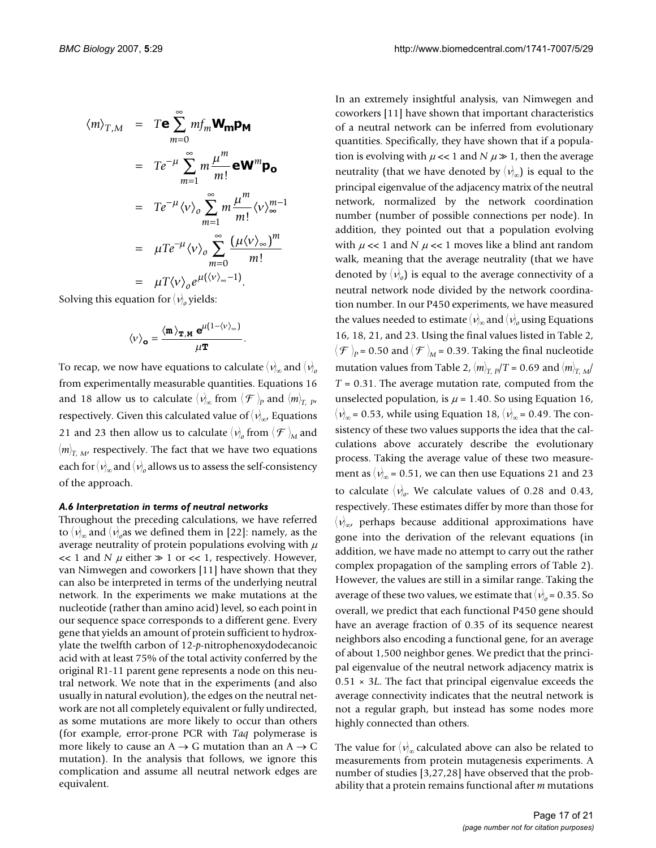$$
\langle m \rangle_{T,M} = T \mathbf{e} \sum_{m=0}^{\infty} m f_m \mathbf{W_m} \mathbf{p_M}
$$
  
\n
$$
= T e^{-\mu} \sum_{m=1}^{\infty} m \frac{\mu^m}{m!} \mathbf{e} \mathbf{W}^m \mathbf{p_o}
$$
  
\n
$$
= T e^{-\mu} \langle v \rangle_o \sum_{m=1}^{\infty} m \frac{\mu^m}{m!} \langle v \rangle_{\infty}^{m-1}
$$
  
\n
$$
= \mu T e^{-\mu} \langle v \rangle_o \sum_{m=0}^{\infty} \frac{(\mu \langle v \rangle_{\infty})^m}{m!}
$$
  
\n
$$
= \mu T \langle v \rangle_o e^{\mu (\langle v \rangle_{\infty} - 1)}.
$$

Solving this equation for  $\langle \nu \rangle_o$  yields:

$$
\langle v \rangle_{\mathbf{o}} = \frac{\langle \mathbf{m} \rangle_{\mathbf{T}, \mathbf{M}} e^{\mu (1 - \langle v \rangle_{\infty})}}{\mu \mathbf{T}}.
$$

To recap, we now have equations to calculate  $\langle \nu \rangle_{\infty}$  and  $\langle \nu \rangle_{\sigma}$ from experimentally measurable quantities. Equations 16 and 18 allow us to calculate  $\langle v \rangle_{\infty}$  from  $\langle \mathcal{F} \rangle_{P}$  and  $\langle m \rangle_{T, P}$ , respectively. Given this calculated value of  $\langle \nu \rangle_{\!\infty}$ , Equations 21 and 23 then allow us to calculate  $\langle v \rangle$  from  $\langle \mathcal{F} \rangle$ <sub>M</sub> and  $\langle m \rangle_{\rm T,~M}$ , respectively. The fact that we have two equations each for  $\langle \nu \rangle_{\infty}$  and  $\langle \nu \rangle_{o}$  allows us to assess the self-consistency of the approach.

#### *A.6 Interpretation in terms of neutral networks*

Throughout the preceding calculations, we have referred to  $\langle v \rangle_{\infty}$  and  $\langle v \rangle_{o}$ as we defined them in [22]: namely, as the average neutrality of protein populations evolving with  $\mu$  $<< 1$  and *N*  $\mu$  either  $\gg 1$  or  $<< 1$ , respectively. However, van Nimwegen and coworkers [11] have shown that they can also be interpreted in terms of the underlying neutral network. In the experiments we make mutations at the nucleotide (rather than amino acid) level, so each point in our sequence space corresponds to a different gene. Every gene that yields an amount of protein sufficient to hydroxylate the twelfth carbon of 12-*p*-nitrophenoxydodecanoic acid with at least 75% of the total activity conferred by the original R1-11 parent gene represents a node on this neutral network. We note that in the experiments (and also usually in natural evolution), the edges on the neutral network are not all completely equivalent or fully undirected, as some mutations are more likely to occur than others (for example, error-prone PCR with *Taq* polymerase is more likely to cause an  $A \rightarrow G$  mutation than an  $A \rightarrow C$ mutation). In the analysis that follows, we ignore this complication and assume all neutral network edges are equivalent.

In an extremely insightful analysis, van Nimwegen and coworkers [11] have shown that important characteristics of a neutral network can be inferred from evolutionary quantities. Specifically, they have shown that if a population is evolving with  $\mu \ll 1$  and  $N \mu \gg 1$ , then the average neutrality (that we have denoted by  $\langle \nu \rangle_{\infty}$ ) is equal to the principal eigenvalue of the adjacency matrix of the neutral network, normalized by the network coordination number (number of possible connections per node). In addition, they pointed out that a population evolving with  $\mu \ll 1$  and N  $\mu \ll 1$  moves like a blind ant random walk, meaning that the average neutrality (that we have denoted by  $\langle v \rangle$ <sub>o</sub>) is equal to the average connectivity of a neutral network node divided by the network coordination number. In our P450 experiments, we have measured the values needed to estimate  $\langle \nu \rangle_{\infty}$  and  $\langle \nu \rangle_{o}$  using Equations 16, 18, 21, and 23. Using the final values listed in Table 2,  $\langle \mathcal{F} \rangle_{\!P}$  = 0.50 and  $\langle \mathcal{F} \rangle_{\!M}$  = 0.39. Taking the final nucleotide mutation values from Table 2,  $\langle m \rangle_{T, p}/T = 0.69$  and  $\langle m \rangle_{T, M}/T$  $T = 0.31$ . The average mutation rate, computed from the unselected population, is  $\mu$  = 1.40. So using Equation 16,  $\langle v \rangle_{\infty}$  = 0.53, while using Equation 18,  $\langle v \rangle_{\infty}$  = 0.49. The consistency of these two values supports the idea that the calculations above accurately describe the evolutionary process. Taking the average value of these two measurement as  $\langle v \rangle_{\infty}$  = 0.51, we can then use Equations 21 and 23 to calculate  $\langle v \rangle$ <sub>o</sub>. We calculate values of 0.28 and 0.43, respectively. These estimates differ by more than those for  $\langle {\nu}_{\!\infty}^{\!\times}$  perhaps because additional approximations have gone into the derivation of the relevant equations (in addition, we have made no attempt to carry out the rather complex propagation of the sampling errors of Table 2). However, the values are still in a similar range. Taking the average of these two values, we estimate that  $\langle v \rangle_o$  = 0.35. So overall, we predict that each functional P450 gene should have an average fraction of 0.35 of its sequence nearest neighbors also encoding a functional gene, for an average of about 1,500 neighbor genes. We predict that the principal eigenvalue of the neutral network adjacency matrix is 0.51 × 3*L*. The fact that principal eigenvalue exceeds the average connectivity indicates that the neutral network is not a regular graph, but instead has some nodes more highly connected than others.

The value for  $\langle \nu \rangle_{\infty}$  calculated above can also be related to measurements from protein mutagenesis experiments. A number of studies [3[,27](#page-20-0),28] have observed that the probability that a protein remains functional after *m* mutations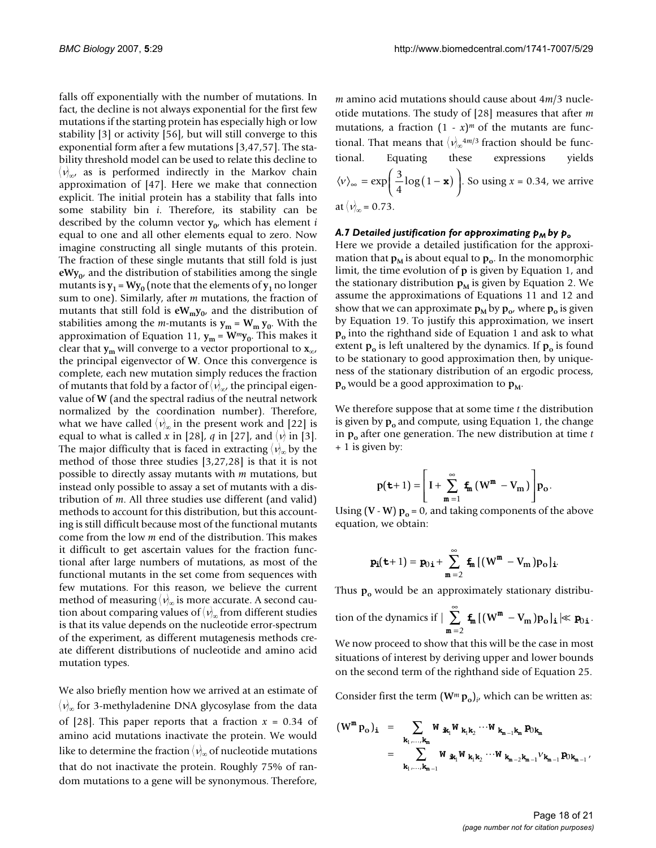falls off exponentially with the number of mutations. In fact, the decline is not always exponential for the first few mutations if the starting protein has especially high or low stability [3] or activity [56], but will still converge to this exponential form after a few mutations [3,47,57]. The stability threshold model can be used to relate this decline to  $\langle v \rangle_{\infty}$ , as is performed indirectly in the Markov chain approximation of [47]. Here we make that connection explicit. The initial protein has a stability that falls into some stability bin *i*. Therefore, its stability can be described by the column vector  $y_0$ , which has element *i* equal to one and all other elements equal to zero. Now imagine constructing all single mutants of this protein. The fraction of these single mutants that still fold is just  $eWy_0$ , and the distribution of stabilities among the single mutants is  $y_1$  =  $Wy_0$  (note that the elements of  $y_1$  no longer sum to one). Similarly, after *m* mutations, the fraction of mutants that still fold is  $eW_my_0$ , and the distribution of stabilities among the *m*-mutants is  $y_m = W_m y_0$ . With the approximation of Equation 11,  $y_m = W^m y_0$ . This makes it clear that **y**<sub>m</sub> will converge to a vector proportional to  $\mathbf{x}_{\infty}$ , the principal eigenvector of **W**. Once this convergence is complete, each new mutation simply reduces the fraction of mutants that fold by a factor of  $\langle \nu_{\!\scriptscriptstyle (\!\chi\!)}\rangle_{\!\scriptscriptstyle \!\chi\! \!\scriptscriptstyle \!\chi\! \!\scriptscriptstyle \!\chi}$  the principal eigenvalue of **W** (and the spectral radius of the neutral network normalized by the coordination number). Therefore, what we have called  $\langle v \rangle_{\infty}$  in the present work and [22] is equal to what is called x in [28], q in [[27\]](#page-20-0), and  $\langle v \rangle$  in [3]. The major difficulty that is faced in extracting  $\langle \nu \rangle_{\infty}$  by the method of those three studies [3,[27,](#page-20-0)28] is that it is not possible to directly assay mutants with *m* mutations, but instead only possible to assay a set of mutants with a distribution of *m*. All three studies use different (and valid) methods to account for this distribution, but this accounting is still difficult because most of the functional mutants come from the low *m* end of the distribution. This makes it difficult to get ascertain values for the fraction functional after large numbers of mutations, as most of the functional mutants in the set come from sequences with few mutations. For this reason, we believe the current method of measuring  $\langle v \rangle_{\infty}$  is more accurate. A second caution about comparing values of  $\langle \nu \rangle_{\infty}$  from different studies is that its value depends on the nucleotide error-spectrum of the experiment, as different mutagenesis methods create different distributions of nucleotide and amino acid mutation types.

We also briefly mention how we arrived at an estimate of  $\langle \nu \rangle_{\! \infty}$  for 3-methyladenine DNA glycosylase from the data of [28]. This paper reports that a fraction  $x = 0.34$  of amino acid mutations inactivate the protein. We would like to determine the fraction  $\langle \nu \rangle_{\!\infty}$  of nucleotide mutations that do not inactivate the protein. Roughly 75% of random mutations to a gene will be synonymous. Therefore,

*m* amino acid mutations should cause about 4*m*/3 nucleotide mutations. The study of [28] measures that after *m* mutations, a fraction  $(1 - x)^m$  of the mutants are functional. That means that  $\langle v \rangle_{\infty}^{4m/3}$  fraction should be functional. Equating these expressions yields  $\langle v \rangle_{\infty} = \exp\left(\frac{3}{2}\log(1 - \mathbf{x})\right)$ . So using  $x = 0.34$ , we arrive at  $\langle v \rangle_{\infty} = 0.73$ .  $\langle v \rangle_{\infty} = \exp\left(\frac{3}{4}\log(1-\mathbf{x})\right)$ 

#### *A.7 Detailed justification for approximating p<sub>M</sub> by p<sub>o</sub>*

Here we provide a detailed justification for the approximation that  $\mathbf{p}_M$  is about equal to  $\mathbf{p}_o$ . In the monomorphic limit, the time evolution of **p** is given by Equation 1, and the stationary distribution  $p_M$  is given by Equation 2. We assume the approximations of Equations 11 and 12 and show that we can approximate  $\mathbf{p}_{\mathbf{M}}$  by  $\mathbf{p}_{\mathbf{o}'}$ , where  $\mathbf{p}_{\mathbf{o}}$  is given by Equation 19. To justify this approximation, we insert **po** into the righthand side of Equation 1 and ask to what extent  $p_0$  is left unaltered by the dynamics. If  $p_0$  is found to be stationary to good approximation then, by uniqueness of the stationary distribution of an ergodic process,  $\mathbf{p}_{o}$  would be a good approximation to  $\mathbf{p}_{M}$ .

We therefore suppose that at some time *t* the distribution is given by  $\mathbf{p}_{o}$  and compute, using Equation 1, the change in  $p_0$  after one generation. The new distribution at time  $t$ + 1 is given by:

$$
p(\mathbf{t}+1) = \left[I + \sum_{m=1}^{\infty} \mathbf{f}_m (W^m - V_m)\right] p_o.
$$

Using (**V** - **W**)  $\mathbf{p}_0 = 0$ , and taking components of the above equation, we obtain:

$$
\mathbf{p_i(t+1)} = \mathbf{p_{0,i}} + \sum_{m=2}^{\infty} \mathbf{f_m} \left[ (W^m - V_m) \mathbf{p_o} \right]_{\mathbf{i}}.
$$

Thus **p**<sub>o</sub> would be an approximately stationary distribu-

tion of the dynamics if 
$$
|\sum_{m=2}^{\infty} f_m [(W^m - V_m) p_o]_i \ll p_{0i}
$$
.

We now proceed to show that this will be the case in most situations of interest by deriving upper and lower bounds on the second term of the righthand side of Equation 25.

Consider first the term  $(\mathbf{W}^m \mathbf{p}_0)_{i'}$  which can be written as:

$$
\begin{array}{rcl} (W^{m}\,p_{o}\,)_{{\bf i}} & = & \displaystyle \sum_{\mathbf{k}_{1}, \ldots, \mathbf{k}_{m}} W_{\;\;\mathbf{i}\mathbf{k}_{1}} W_{\;\mathbf{k}_{1}\mathbf{k}_{2}} \cdots W_{\;\mathbf{k}_{m-1}\mathbf{k}_{m}}\,p_{0\mathbf{k}_{m}} \\ & = & \displaystyle \sum_{\mathbf{k}_{1}, \ldots, \mathbf{k}_{m-1}} W_{\;\;\mathbf{i}\mathbf{k}_{1}} W_{\;\mathbf{k}_{1}\mathbf{k}_{2}} \cdots W_{\;\mathbf{k}_{m-2}\mathbf{k}_{m-1}} \mathcal{V}_{\mathbf{k}_{m-1}}\,p_{0\mathbf{k}_{m-1}} \end{array},
$$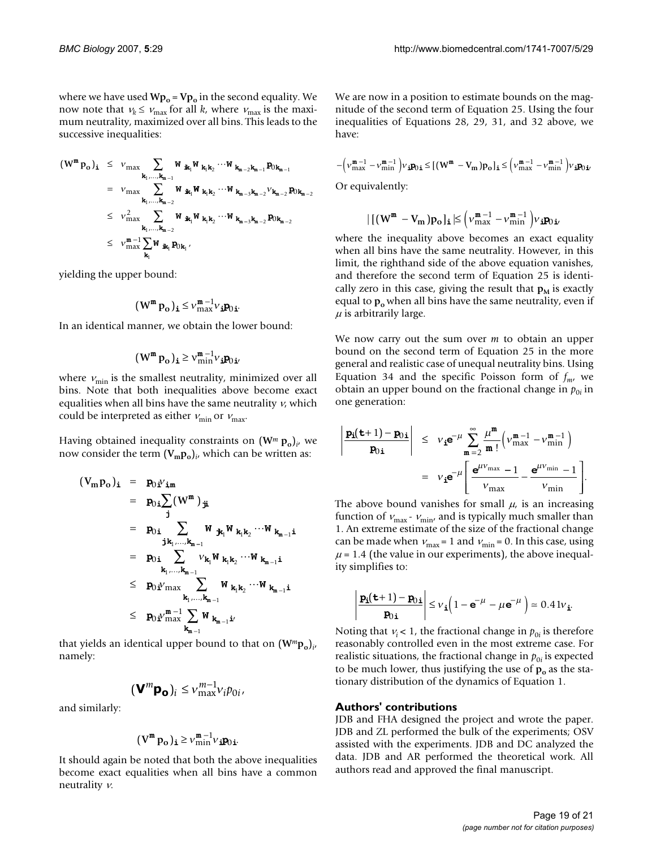where we have used  $Wp_0 = Vp_0$  in the second equality. We now note that  $v_k \le v_{\text{max}}$  for all *k*, where  $v_{\text{max}}$  is the maximum neutrality, maximized over all bins. This leads to the successive inequalities:

$$
(W^m p_o)_i \leq v_{max} \sum_{\mathbf{k}_1, ..., \mathbf{k}_{m-1}} W_{i\mathbf{k}_1} W_{i\mathbf{k}_1} k_2 \cdots W_{i\mathbf{k}_{m-2} \mathbf{k}_{m-1}} p_{0k_{m-1}}
$$
  
\n
$$
= v_{max} \sum_{\mathbf{k}_1, ..., \mathbf{k}_{m-2}} W_{i\mathbf{k}_1} W_{i\mathbf{k}_1} k_2 \cdots W_{i\mathbf{k}_{m-3} \mathbf{k}_{m-2}} v_{i\mathbf{k}_{m-2}} p_{0k_{m-2}}
$$
  
\n
$$
\leq v_{max}^2 \sum_{\mathbf{k}_1, ..., \mathbf{k}_{m-2}} W_{i\mathbf{k}_1} W_{i\mathbf{k}_1} k_2 \cdots W_{i\mathbf{k}_{m-3} \mathbf{k}_{m-2}} p_{0k_{m-2}}
$$
  
\n
$$
\leq v_{max}^m \sum_{\mathbf{k}_1} W_{i\mathbf{k}_1} p_{0k_1},
$$

yielding the upper bound:

$$
(\mathbf{W}^{\mathbf{m}} \, \mathbf{p}_{\mathbf{o}})_{\mathbf{i}} \leq \mathbf{v}^{\mathbf{m}-1}_{\max} \mathbf{v}_{\mathbf{i}} \mathbf{p}_{0 \mathbf{i}}.
$$

In an identical manner, we obtain the lower bound:

$$
(\boldsymbol{W}^m \, \boldsymbol{p}_o)_\textbf{i} \geq \boldsymbol{v}^{m-1}_{\min} \boldsymbol{v}_\textbf{i} \boldsymbol{p}_{0 \, \textbf{i}'}
$$

where  $v_{\text{min}}$  is the smallest neutrality, minimized over all bins. Note that both inequalities above become exact equalities when all bins have the same neutrality  $v$ , which could be interpreted as either  $v_{\text{min}}$  or  $v_{\text{max}}$ .

Having obtained inequality constraints on  $(W^m p_o)$ <sub>*i*</sub>, we now consider the term  $(V_m p_o)_{i'}$  which can be written as:

$$
(V_m p_o)_i = p_{0i}V_{im}
$$
  
\n
$$
= p_{0i} \sum_{j} (W^m)_{ji}
$$
  
\n
$$
= p_{0i} \sum_{j,k_1,...,k_{m-1}} W_{jk_1}W_{k_1k_2} \cdots W_{k_{m-1}i}
$$
  
\n
$$
= p_{0i} \sum_{k_1,...,k_{m-1}} V_{k_1}W_{k_1k_2} \cdots W_{k_{m-1}i}
$$
  
\n
$$
\leq p_{0i}V_{max} \sum_{k_1,...,k_{m-1}} W_{k_1k_2} \cdots W_{k_{m-1}i}
$$
  
\n
$$
\leq p_{0i}V_{max}^{m-1} \sum_{k_{m-1}} W_{k_{m-1}i}
$$

that yields an identical upper bound to that on (**W***<sup>m</sup>***po**)*<sup>i</sup>* , namely:

$$
(\mathbf{V}^m \mathbf{p_o})_i \leq v_{\max}^{m-1} v_i p_{0i},
$$

and similarly:

$$
\bigl(\,V^m\,p^{\vphantom{m}}_o\,\bigr)_{\mathbf{i}}\geq \mathop{\scriptstyle\mathcal{V}}\nolimits^{m-1}_{\min}\mathop{\scriptstyle\mathcal{V}}\nolimits_{\mathbf{i}}\,p^{\vphantom{m}}_{0\,\mathbf{i}}.
$$

It should again be noted that both the above inequalities become exact equalities when all bins have a common neutrality ν.

We are now in a position to estimate bounds on the magnitude of the second term of Equation 25. Using the four inequalities of Equations 28, 29, 31, and 32 above, we have:

$$
-\left(\nu_{\max}^{\mathfrak{m}-1} - \nu_{\min}^{\mathfrak{m}-1}\right)\nu_{\mathbf{i}}\mathbf{p}_{0\mathbf{i}} \leq \left[(W^{\mathfrak{m}} - V_{\mathfrak{m}})\mathbf{p}_{0}\right]_{\mathbf{i}} \leq \left(\nu_{\max}^{\mathfrak{m}-1} - \nu_{\min}^{\mathfrak{m}-1}\right)\nu_{\mathbf{i}}\mathbf{p}_{0\mathbf{i}}.
$$
 Or equivalently:

$$
\vert\, \vert (w^m - v_m) p_o \vert_{\mathbf{i}} \,\vert \leq \Big( \nu^{m-1}_{\max} - \nu^{m-1}_{\min} \Big) \nu_{\mathbf{i}} p_{0\,\mathbf{i}'}
$$

where the inequality above becomes an exact equality when all bins have the same neutrality. However, in this limit, the righthand side of the above equation vanishes, and therefore the second term of Equation 25 is identically zero in this case, giving the result that  $\mathbf{p}_M$  is exactly equal to  $p_0$  when all bins have the same neutrality, even if  $\mu$  is arbitrarily large.

We now carry out the sum over *m* to obtain an upper bound on the second term of Equation 25 in the more general and realistic case of unequal neutrality bins. Using Equation 34 and the specific Poisson form of  $f_{m'}$  we obtain an upper bound on the fractional change in  $p_{0i}$  in one generation:

$$
\begin{array}{c|c} \mathbf{\underline{p_{i}}(t+1) - \underline{p_{0,i}}}\n\end{array}\n\Bigg| \leq v_{i} e^{-\mu} \sum_{m=2}^{\infty} \frac{\mu^{m}}{m!} \Big( v_{\max}^{m-1} - v_{\min}^{m-1} \Big) \\
= v_{i} e^{-\mu} \Bigg[ \frac{e^{\mu v_{\max}} - 1}{v_{\max}} - \frac{e^{\mu v_{\min}} - 1}{v_{\min}} \Bigg].
$$

The above bound vanishes for small  $\mu$ , is an increasing function of  $v_{\text{max}}$  -  $v_{\text{min}}$ , and is typically much smaller than 1. An extreme estimate of the size of the fractional change can be made when  $v_{\text{max}} = 1$  and  $v_{\text{min}} = 0$ . In this case, using  $\mu$  = 1.4 (the value in our experiments), the above inequality simplifies to:

$$
\left|\frac{\mathbf{p_i}(t+1) - \mathbf{p_{0i}}}{\mathbf{p_{0i}}}\right| \leq v_i \left(1 - e^{-\mu} - \mu e^{-\mu}\right) \approx 0.41 v_i.
$$

Noting that  $v_i < 1$ , the fractional change in  $p_{0i}$  is therefore reasonably controlled even in the most extreme case. For realistic situations, the fractional change in  $p_{0i}$  is expected to be much lower, thus justifying the use of  $p_0$  as the stationary distribution of the dynamics of Equation 1.

#### **Authors' contributions**

JDB and FHA designed the project and wrote the paper. JDB and ZL performed the bulk of the experiments; OSV assisted with the experiments. JDB and DC analyzed the data. JDB and AR performed the theoretical work. All authors read and approved the final manuscript.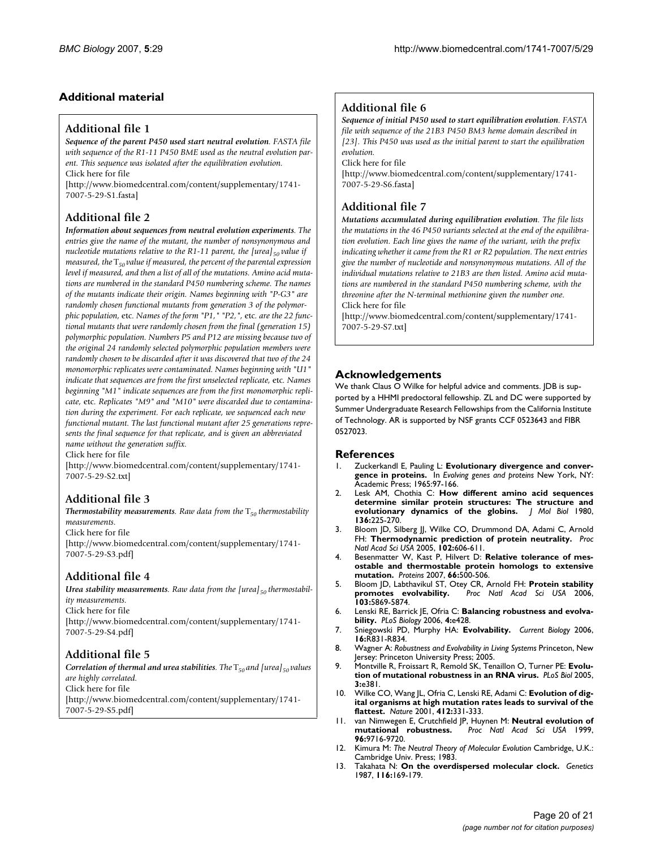# **Additional material**

## **Additional file 1**

*Sequence of the parent P450 used start neutral evolution. FASTA file with sequence of the R1-11 P450 BME used as the neutral evolution parent. This sequence was isolated after the equilibration evolution.* Click here for file

[\[http://www.biomedcentral.com/content/supplementary/1741-](http://www.biomedcentral.com/content/supplementary/1741-7007-5-29-S1.fasta) 7007-5-29-S1.fasta]

# **Additional file 2**

*Information about sequences from neutral evolution experiments. The entries give the name of the mutant, the number of nonsynonymous and nucleotide mutations relative to the R1-11 parent, the [urea]*<sub>50</sub> value if *measured, the* T*50 value if measured, the percent of the parental expression level if measured, and then a list of all of the mutations. Amino acid mutations are numbered in the standard P450 numbering scheme. The names of the mutants indicate their origin. Names beginning with "P-G3" are randomly chosen functional mutants from generation 3 of the polymorphic population,* etc*. Names of the form "P1," "P2,",* etc*. are the 22 functional mutants that were randomly chosen from the final (generation 15) polymorphic population. Numbers P5 and P12 are missing because two of the original 24 randomly selected polymorphic population members were randomly chosen to be discarded after it was discovered that two of the 24 monomorphic replicates were contaminated. Names beginning with "U1" indicate that sequences are from the first unselected replicate,* etc*. Names beginning "M1" indicate sequences are from the first monomorphic replicate,* etc*. Replicates "M9" and "M10" were discarded due to contamination during the experiment. For each replicate, we sequenced each new functional mutant. The last functional mutant after 25 generations represents the final sequence for that replicate, and is given an abbreviated name without the generation suffix.*

Click here for file

[\[http://www.biomedcentral.com/content/supplementary/1741-](http://www.biomedcentral.com/content/supplementary/1741-7007-5-29-S2.txt) 7007-5-29-S2.txt]

# **Additional file 3**

**Thermostability measurements***. Raw data from the*  $T_{50}$  *thermostability measurements.* Click here for file

[\[http://www.biomedcentral.com/content/supplementary/1741-](http://www.biomedcentral.com/content/supplementary/1741-7007-5-29-S3.pdf) 7007-5-29-S3.pdf]

# **Additional file 4**

Urea stability measurements. Raw data from the [urea]<sub>50</sub> thermostabil*ity measurements.* Click here for file [\[http://www.biomedcentral.com/content/supplementary/1741-](http://www.biomedcentral.com/content/supplementary/1741-7007-5-29-S4.pdf) 7007-5-29-S4.pdf]

# **Additional file 5**

*Correlation of thermal and urea stabilities. The*  $T_{50}$  *and [urea]<sub>50</sub> values are highly correlated.* Click here for file [\[http://www.biomedcentral.com/content/supplementary/1741-](http://www.biomedcentral.com/content/supplementary/1741-7007-5-29-S5.pdf) 7007-5-29-S5.pdf]

# **Additional file 6**

*Sequence of initial P450 used to start equilibration evolution. FASTA file with sequence of the 21B3 P450 BM3 heme domain described in [23]. This P450 was used as the initial parent to start the equilibration evolution.*

Click here for file

[\[http://www.biomedcentral.com/content/supplementary/1741-](http://www.biomedcentral.com/content/supplementary/1741-7007-5-29-S6.fasta) 7007-5-29-S6.fasta]

# **Additional file 7**

*Mutations accumulated during equilibration evolution. The file lists the mutations in the 46 P450 variants selected at the end of the equilibration evolution. Each line gives the name of the variant, with the prefix indicating whether it came from the R1 or R2 population. The next entries give the number of nucleotide and nonsynonymous mutations. All of the individual mutations relative to 21B3 are then listed. Amino acid mutations are numbered in the standard P450 numbering scheme, with the threonine after the N-terminal methionine given the number one.* Click here for file

[\[http://www.biomedcentral.com/content/supplementary/1741-](http://www.biomedcentral.com/content/supplementary/1741-7007-5-29-S7.txt) 7007-5-29-S7.txt]

# **Acknowledgements**

We thank Claus O Wilke for helpful advice and comments. JDB is supported by a HHMI predoctoral fellowship. ZL and DC were supported by Summer Undergraduate Research Fellowships from the California Institute of Technology. AR is supported by NSF grants CCF 0523643 and FIBR 0527023.

## **References**

- Zuckerkandl E, Pauling L: Evolutionary divergence and conver**gence in proteins.** In *Evolving genes and proteins* New York, NY: Academic Press; 1965:97-166.
- 2. Lesk AM, Chothia C: **[How different amino acid sequences](http://www.ncbi.nlm.nih.gov/entrez/query.fcgi?cmd=Retrieve&db=PubMed&dopt=Abstract&list_uids=7373651) [determine similar protein structures: The structure and](http://www.ncbi.nlm.nih.gov/entrez/query.fcgi?cmd=Retrieve&db=PubMed&dopt=Abstract&list_uids=7373651) [evolutionary dynamics of the globins.](http://www.ncbi.nlm.nih.gov/entrez/query.fcgi?cmd=Retrieve&db=PubMed&dopt=Abstract&list_uids=7373651)** *J Mol Biol* 1980, **136:**225-270.
- 3. Bloom JD, Silberg JJ, Wilke CO, Drummond DA, Adami C, Arnold FH: **[Thermodynamic prediction of protein neutrality.](http://www.ncbi.nlm.nih.gov/entrez/query.fcgi?cmd=Retrieve&db=PubMed&dopt=Abstract&list_uids=15644440)** *Proc Natl Acad Sci USA* 2005, **102:**606-611.
- 4. Besenmatter W, Kast P, Hilvert D: **[Relative tolerance of mes](http://www.ncbi.nlm.nih.gov/entrez/query.fcgi?cmd=Retrieve&db=PubMed&dopt=Abstract&list_uids=17096428)[ostable and thermostable protein homologs to extensive](http://www.ncbi.nlm.nih.gov/entrez/query.fcgi?cmd=Retrieve&db=PubMed&dopt=Abstract&list_uids=17096428) [mutation.](http://www.ncbi.nlm.nih.gov/entrez/query.fcgi?cmd=Retrieve&db=PubMed&dopt=Abstract&list_uids=17096428)** *Proteins* 2007, **66:**500-506.
- 5. Bloom JD, Labthavikul ST, Otey CR, Arnold FH: **[Protein stability](http://www.ncbi.nlm.nih.gov/entrez/query.fcgi?cmd=Retrieve&db=PubMed&dopt=Abstract&list_uids=16581913) [promotes evolvability.](http://www.ncbi.nlm.nih.gov/entrez/query.fcgi?cmd=Retrieve&db=PubMed&dopt=Abstract&list_uids=16581913)** *Proc Natl Acad Sci USA* 2006, **103:**5869-5874.
- 6. Lenski RE, Barrick JE, Ofria C: **[Balancing robustness and evolva](http://www.ncbi.nlm.nih.gov/entrez/query.fcgi?cmd=Retrieve&db=PubMed&dopt=Abstract&list_uids=17238277)[bility.](http://www.ncbi.nlm.nih.gov/entrez/query.fcgi?cmd=Retrieve&db=PubMed&dopt=Abstract&list_uids=17238277)** *PLoS Biology* 2006, **4:**e428.
- 7. Sniegowski PD, Murphy HA: **[Evolvability.](http://www.ncbi.nlm.nih.gov/entrez/query.fcgi?cmd=Retrieve&db=PubMed&dopt=Abstract&list_uids=17027474)** *Current Biology* 2006, **16:**R831-R834.
- 8. Wagner A: *Robustness and Evolvability in Living Systems* Princeton, New Jersey: Princeton University Press; 2005.
- 9. Montville R, Froissart R, Remold SK, Tenaillon O, Turner PE: **[Evolu](http://www.ncbi.nlm.nih.gov/entrez/query.fcgi?cmd=Retrieve&db=PubMed&dopt=Abstract&list_uids=16248678)[tion of mutational robustness in an RNA virus.](http://www.ncbi.nlm.nih.gov/entrez/query.fcgi?cmd=Retrieve&db=PubMed&dopt=Abstract&list_uids=16248678)** *PLoS Biol* 2005, **3:**e381.
- 10. Wilke CO, Wang JL, Ofria C, Lenski RE, Adami C: **[Evolution of dig](http://www.ncbi.nlm.nih.gov/entrez/query.fcgi?cmd=Retrieve&db=PubMed&dopt=Abstract&list_uids=11460163)[ital organisms at high mutation rates leads to survival of the](http://www.ncbi.nlm.nih.gov/entrez/query.fcgi?cmd=Retrieve&db=PubMed&dopt=Abstract&list_uids=11460163) [flattest.](http://www.ncbi.nlm.nih.gov/entrez/query.fcgi?cmd=Retrieve&db=PubMed&dopt=Abstract&list_uids=11460163)** *Nature* 2001, **412:**331-333.
- 11. van Nimwegen E, Crutchfield JP, Huynen M: **[Neutral evolution of](http://www.ncbi.nlm.nih.gov/entrez/query.fcgi?cmd=Retrieve&db=PubMed&dopt=Abstract&list_uids=10449760) [mutational robustness.](http://www.ncbi.nlm.nih.gov/entrez/query.fcgi?cmd=Retrieve&db=PubMed&dopt=Abstract&list_uids=10449760)** *Proc Natl Acad Sci USA* 1999, **96:**9716-9720.
- 12. Kimura M: *The Neutral Theory of Molecular Evolution* Cambridge, U.K.: Cambridge Univ. Press; 1983.
- 13. Takahata N: **[On the overdispersed molecular clock.](http://www.ncbi.nlm.nih.gov/entrez/query.fcgi?cmd=Retrieve&db=PubMed&dopt=Abstract&list_uids=3596230)** *Genetics* 1987, **116:**169-179.